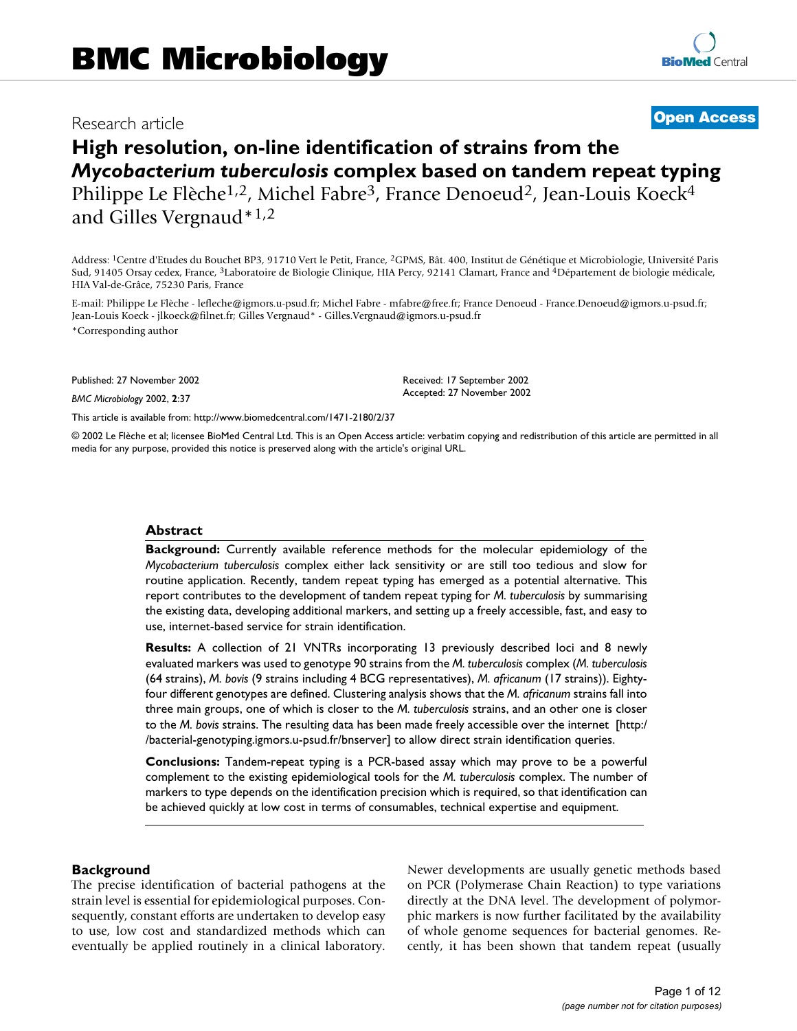# Research article **Contract Contract Contract Contract Contract Contract Contract Contract Contract Contract Contract Contract Contract Contract Contract Contract Contract Contract Contract Contract Contract Contract Contra**

# **High resolution, on-line identification of strains from the**  *Mycobacterium tuberculosis* **complex based on tandem repeat typing** Philippe Le Flèche<sup>1,2</sup>, Michel Fabre<sup>3</sup>, France Denoeud<sup>2</sup>, Jean-Louis Koeck<sup>4</sup> and Gilles Vergnaud\*1,2

Address: 1Centre d'Etudes du Bouchet BP3, 91710 Vert le Petit, France, 2GPMS, Bât. 400, Institut de Génétique et Microbiologie, Université Paris Sud, 91405 Orsay cedex, France, 3Laboratoire de Biologie Clinique, HIA Percy, 92141 Clamart, France and 4Département de biologie médicale, HIA Val-de-Grâce, 75230 Paris, France

E-mail: Philippe Le Flèche - lefleche@igmors.u-psud.fr; Michel Fabre - mfabre@free.fr; France Denoeud - France.Denoeud@igmors.u-psud.fr; Jean-Louis Koeck - jlkoeck@filnet.fr; Gilles Vergnaud\* - Gilles.Vergnaud@igmors.u-psud.fr \*Corresponding author

Published: 27 November 2002

*BMC Microbiology* 2002, **2**:37

[This article is available from: http://www.biomedcentral.com/1471-2180/2/37](http://www.biomedcentral.com/1471-2180/2/37)

© 2002 Le Flèche et al; licensee BioMed Central Ltd. This is an Open Access article: verbatim copying and redistribution of this article are permitted in all media for any purpose, provided this notice is preserved along with the article's original URL.

Received: 17 September 2002 Accepted: 27 November 2002

# **Abstract**

**Background:** Currently available reference methods for the molecular epidemiology of the *Mycobacterium tuberculosis* complex either lack sensitivity or are still too tedious and slow for routine application. Recently, tandem repeat typing has emerged as a potential alternative. This report contributes to the development of tandem repeat typing for *M. tuberculosis* by summarising the existing data, developing additional markers, and setting up a freely accessible, fast, and easy to use, internet-based service for strain identification.

**Results:** A collection of 21 VNTRs incorporating 13 previously described loci and 8 newly evaluated markers was used to genotype 90 strains from the *M. tuberculosis* complex (*M. tuberculosis* (64 strains), *M. bovis* (9 strains including 4 BCG representatives), *M. africanum* (17 strains)). Eightyfour different genotypes are defined. Clustering analysis shows that the *M. africanum* strains fall into three main groups, one of which is closer to the *M. tuberculosis* strains, and an other one is closer to the *M. bovis* [strains. The resulting data has been made freely accessible over the internet \[http:/](http://bacterial-genotyping.igmors.u-psud.fr/bnserver) [/bacterial-genotyping.igmors.u-psud.fr/bnserver\] to allow direct strain identification queries.](http://bacterial-genotyping.igmors.u-psud.fr/bnserver)

**Conclusions:** Tandem-repeat typing is a PCR-based assay which may prove to be a powerful complement to the existing epidemiological tools for the *M. tuberculosis* complex. The number of markers to type depends on the identification precision which is required, so that identification can be achieved quickly at low cost in terms of consumables, technical expertise and equipment.

# **Background**

The precise identification of bacterial pathogens at the strain level is essential for epidemiological purposes. Consequently, constant efforts are undertaken to develop easy to use, low cost and standardized methods which can eventually be applied routinely in a clinical laboratory. Newer developments are usually genetic methods based on PCR (Polymerase Chain Reaction) to type variations directly at the DNA level. The development of polymorphic markers is now further facilitated by the availability of whole genome sequences for bacterial genomes. Recently, it has been shown that tandem repeat (usually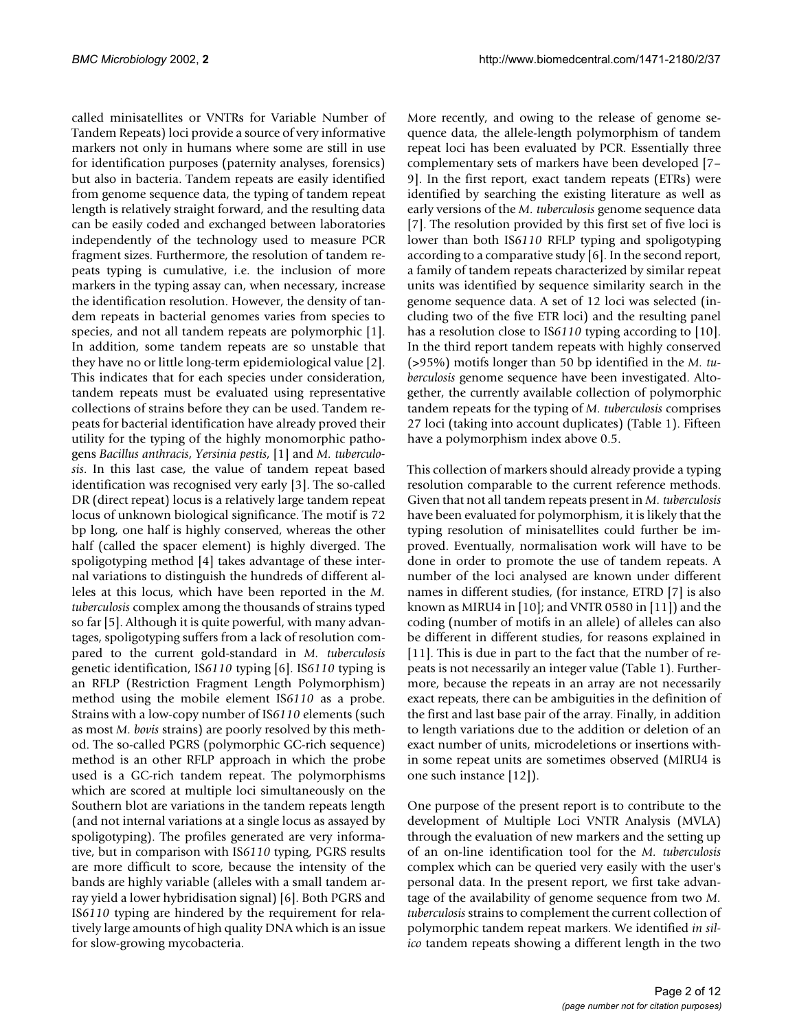called minisatellites or VNTRs for Variable Number of Tandem Repeats) loci provide a source of very informative markers not only in humans where some are still in use for identification purposes (paternity analyses, forensics) but also in bacteria. Tandem repeats are easily identified from genome sequence data, the typing of tandem repeat length is relatively straight forward, and the resulting data can be easily coded and exchanged between laboratories independently of the technology used to measure PCR fragment sizes. Furthermore, the resolution of tandem repeats typing is cumulative, i.e. the inclusion of more markers in the typing assay can, when necessary, increase the identification resolution. However, the density of tandem repeats in bacterial genomes varies from species to species, and not all tandem repeats are polymorphic [1]. In addition, some tandem repeats are so unstable that they have no or little long-term epidemiological value [2]. This indicates that for each species under consideration, tandem repeats must be evaluated using representative collections of strains before they can be used. Tandem repeats for bacterial identification have already proved their utility for the typing of the highly monomorphic pathogens *Bacillus anthracis*, *Yersinia pestis*, [1] and *M. tuberculosis*. In this last case, the value of tandem repeat based identification was recognised very early [3]. The so-called DR (direct repeat) locus is a relatively large tandem repeat locus of unknown biological significance. The motif is 72 bp long, one half is highly conserved, whereas the other half (called the spacer element) is highly diverged. The spoligotyping method [4] takes advantage of these internal variations to distinguish the hundreds of different alleles at this locus, which have been reported in the *M. tuberculosis* complex among the thousands of strains typed so far [5]. Although it is quite powerful, with many advantages, spoligotyping suffers from a lack of resolution compared to the current gold-standard in *M. tuberculosis* genetic identification, IS*6110* typing [6]. IS*6110* typing is an RFLP (Restriction Fragment Length Polymorphism) method using the mobile element IS*6110* as a probe. Strains with a low-copy number of IS*6110* elements (such as most *M. bovis* strains) are poorly resolved by this method. The so-called PGRS (polymorphic GC-rich sequence) method is an other RFLP approach in which the probe used is a GC-rich tandem repeat. The polymorphisms which are scored at multiple loci simultaneously on the Southern blot are variations in the tandem repeats length (and not internal variations at a single locus as assayed by spoligotyping). The profiles generated are very informative, but in comparison with IS*6110* typing, PGRS results are more difficult to score, because the intensity of the bands are highly variable (alleles with a small tandem array yield a lower hybridisation signal) [6]. Both PGRS and IS*6110* typing are hindered by the requirement for relatively large amounts of high quality DNA which is an issue for slow-growing mycobacteria.

More recently, and owing to the release of genome sequence data, the allele-length polymorphism of tandem repeat loci has been evaluated by PCR. Essentially three complementary sets of markers have been developed [7– 9]. In the first report, exact tandem repeats (ETRs) were identified by searching the existing literature as well as early versions of the *M. tuberculosis* genome sequence data [7]. The resolution provided by this first set of five loci is lower than both IS*6110* RFLP typing and spoligotyping according to a comparative study [6]. In the second report, a family of tandem repeats characterized by similar repeat units was identified by sequence similarity search in the genome sequence data. A set of 12 loci was selected (including two of the five ETR loci) and the resulting panel has a resolution close to IS*6110* typing according to [10]. In the third report tandem repeats with highly conserved (>95%) motifs longer than 50 bp identified in the *M. tuberculosis* genome sequence have been investigated. Altogether, the currently available collection of polymorphic tandem repeats for the typing of *M. tuberculosis* comprises 27 loci (taking into account duplicates) (Table 1). Fifteen have a polymorphism index above 0.5.

This collection of markers should already provide a typing resolution comparable to the current reference methods. Given that not all tandem repeats present in *M. tuberculosis* have been evaluated for polymorphism, it is likely that the typing resolution of minisatellites could further be improved. Eventually, normalisation work will have to be done in order to promote the use of tandem repeats. A number of the loci analysed are known under different names in different studies, (for instance, ETRD [7] is also known as MIRU4 in [10]; and VNTR 0580 in [11]) and the coding (number of motifs in an allele) of alleles can also be different in different studies, for reasons explained in [11]. This is due in part to the fact that the number of repeats is not necessarily an integer value (Table 1). Furthermore, because the repeats in an array are not necessarily exact repeats, there can be ambiguities in the definition of the first and last base pair of the array. Finally, in addition to length variations due to the addition or deletion of an exact number of units, microdeletions or insertions within some repeat units are sometimes observed (MIRU4 is one such instance [12]).

One purpose of the present report is to contribute to the development of Multiple Loci VNTR Analysis (MVLA) through the evaluation of new markers and the setting up of an on-line identification tool for the *M. tuberculosis* complex which can be queried very easily with the user's personal data. In the present report, we first take advantage of the availability of genome sequence from two *M. tuberculosis* strains to complement the current collection of polymorphic tandem repeat markers. We identified *in silico* tandem repeats showing a different length in the two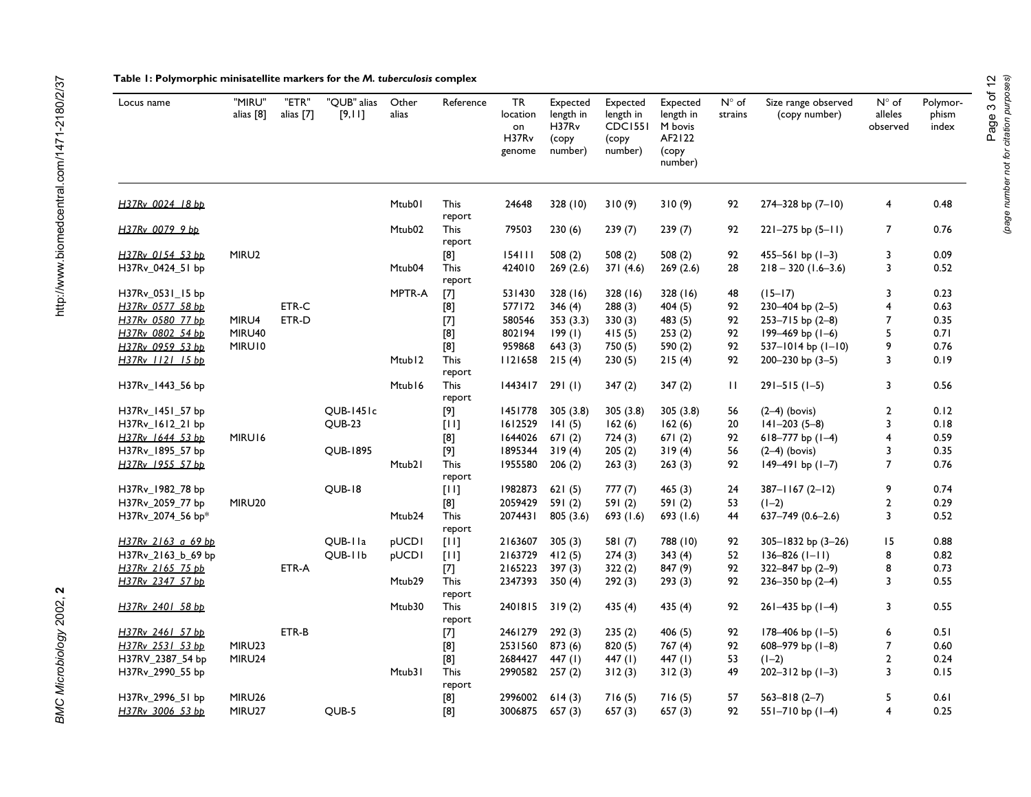# **Table 1: Polymorphic minisatellite markers for the** *M. tuberculosis* **complex**

| Locus name                           | "MIRU"<br>alias [8] | "ETR"<br>alias [7] | "OUB" alias<br>[9,11] | Other<br>alias     | Reference             | TR<br>location<br>on<br>H37Rv<br>genome | Expected<br>length in<br>H37R <sub>v</sub><br>(copy<br>number) | Expected<br>length in<br><b>CDC1551</b><br>(copy<br>number) | Expected<br>length in<br>M bovis<br>AF2122<br>(copy<br>number) | $N^{\circ}$ of<br>strains | Size range observed<br>(copy number)            | $N^{\circ}$ of<br>alleles<br>observed | Polymor-<br>phism<br>index |
|--------------------------------------|---------------------|--------------------|-----------------------|--------------------|-----------------------|-----------------------------------------|----------------------------------------------------------------|-------------------------------------------------------------|----------------------------------------------------------------|---------------------------|-------------------------------------------------|---------------------------------------|----------------------------|
| H37Rv 0024 18 bp                     |                     |                    |                       | Mtub01             | <b>This</b><br>report | 24648                                   | 328 (10)                                                       | 310(9)                                                      | 310(9)                                                         | 92                        | $274 - 328$ bp $(7 - 10)$                       | 4                                     | 0.48                       |
| H37Rv 0079 9 bp                      |                     |                    |                       | Mtub <sub>02</sub> | <b>This</b><br>report | 79503                                   | 230(6)                                                         | 239(7)                                                      | 239(7)                                                         | 92                        | $221 - 275$ bp $(5 - 11)$                       | $\overline{7}$                        | 0.76                       |
| H37Rv 0154 53 bp<br>H37Rv_0424_51 bp | MIRU2               |                    |                       | Mtub04             | [8]<br><b>This</b>    | 154111<br>424010                        | 508(2)<br>269(2.6)                                             | 508(2)<br>371(4.6)                                          | 508(2)<br>269(2.6)                                             | 92<br>28                  | $455 - 561$ bp $(1-3)$<br>$218 - 320$ (1.6-3.6) | 3<br>3                                | 0.09<br>0.52               |
|                                      |                     |                    |                       |                    | report                |                                         |                                                                |                                                             |                                                                |                           |                                                 |                                       |                            |
| H37Rv_0531_15 bp                     |                     |                    |                       | MPTR-A             | $[7]$                 | 531430                                  | 328 (16)                                                       | 328 (16)                                                    | 328 (16)                                                       | 48                        | $(15-17)$                                       | 3                                     | 0.23                       |
| H37Rv 0577 58 bb                     |                     | ETR-C              |                       |                    | [8]                   | 577172                                  | 346(4)                                                         | 288(3)                                                      | 404 (5)                                                        | 92                        | $230 - 404$ bp $(2-5)$                          | $\overline{4}$                        | 0.63                       |
| H37Rv 0580 77 bp                     | MIRU4               | ETR-D              |                       |                    | $[7]$                 | 580546                                  | 353(3.3)                                                       | 330(3)                                                      | 483 (5)                                                        | 92                        | $253 - 715$ bp $(2-8)$                          | 7                                     | 0.35                       |
| H37Rv 0802 54 bp                     | MIRU40              |                    |                       |                    | [8]                   | 802194                                  | 199(1)                                                         | 415(5)                                                      | 253(2)                                                         | 92                        | 199-469 bp (1-6)                                | 5                                     | 0.71                       |
| H37Rv 0959 53 bb                     | MIRU10              |                    |                       |                    | $[8]$                 | 959868                                  | 643(3)                                                         | 750 (5)                                                     | 590 (2)                                                        | 92                        | $537 - 1014$ bp $(1 - 10)$                      | 9                                     | 0.76                       |
| H37Rv 1121 15 bp                     |                     |                    |                       | Mtub <sub>12</sub> | <b>This</b><br>report | 1121658                                 | 215(4)                                                         | 230(5)                                                      | 215(4)                                                         | 92                        | 200-230 bp $(3-5)$                              | 3                                     | 0.19                       |
| H37Rv_1443_56 bp                     |                     |                    |                       | Mtub16             | <b>This</b><br>report | 1443417                                 | 291(1)                                                         | 347(2)                                                      | 347(2)                                                         | П                         | $291 - 515(1 - 5)$                              | 3                                     | 0.56                       |
| H37Rv_1451_57 bp                     |                     |                    | <b>QUB-1451c</b>      |                    | $[9]$                 | 1451778                                 | 305(3.8)                                                       | 305(3.8)                                                    | 305(3.8)                                                       | 56                        | $(2-4)$ (bovis)                                 | $\overline{2}$                        | 0.12                       |
| H37Rv_1612_21 bp                     |                     |                    | <b>OUB-23</b>         |                    | [11]                  | 1612529                                 | 141(5)                                                         | 162(6)                                                      | 162(6)                                                         | 20                        | $141 - 203(5 - 8)$                              | 3                                     | 0.18                       |
| H37Rv 1644 53 bb                     | MIRU16              |                    |                       |                    | [8]                   | 1644026                                 | 671(2)                                                         | 724(3)                                                      | 671(2)                                                         | 92                        | $618 - 777$ bp $(1-4)$                          | $\overline{4}$                        | 0.59                       |
| H37Rv_1895_57 bp                     |                     |                    | <b>OUB-1895</b>       |                    | $[9]$                 | 1895344                                 | 319(4)                                                         | 205(2)                                                      | 319(4)                                                         | 56                        | $(2-4)$ (bovis)                                 | 3                                     | 0.35                       |
| H37Rv 1955 57 bp                     |                     |                    |                       | Mtub <sub>2</sub>  | <b>This</b><br>report | 1955580                                 | 206(2)                                                         | 263(3)                                                      | 263(3)                                                         | 92                        | $149-491$ bp $(1-7)$                            | $\overline{7}$                        | 0.76                       |
| H37Rv_1982_78 bp                     |                     |                    | <b>QUB-18</b>         |                    | $[11]$                | 1982873                                 | 621(5)                                                         | 777(7)                                                      | 465(3)                                                         | 24                        | $387 - 1167(2 - 12)$                            | 9                                     | 0.74                       |
| H37Rv_2059_77 bp                     | MIRU20              |                    |                       |                    | [8]                   | 2059429                                 | 591(2)                                                         | 591 (2)                                                     | 591 (2)                                                        | 53                        | $(1-2)$                                         | $\overline{2}$                        | 0.29                       |
| H37Rv_2074_56 bp*                    |                     |                    |                       | Mtub24             | <b>This</b><br>report | 2074431                                 | 805 (3.6)                                                      | 693(1.6)                                                    | 693 (1.6)                                                      | 44                        | 637-749 (0.6-2.6)                               | 3                                     | 0.52                       |
| H37Rv 2163 a 69 bp                   |                     |                    | OUB-IIa               | <b>pUCD1</b>       | [11]                  | 2163607                                 | 305(3)                                                         | 581(7)                                                      | 788 (10)                                                       | 92                        | $305 - 1832$ bp $(3 - 26)$                      | 15                                    | 0.88                       |
| H37Rv_2163_b_69 bp                   |                     |                    | OUB-11b               | pUCDI              | [11]                  | 2163729                                 | 412(5)                                                         | 274(3)                                                      | 343(4)                                                         | 52                        | $136 - 826$ ( $1 - 11$ )                        | 8                                     | 0.82                       |
| H37Rv 2165 75 bb                     |                     | ETR-A              |                       |                    | $[7]$                 | 2165223                                 | 397(3)                                                         | 322(2)                                                      | 847 (9)                                                        | 92                        | $322 - 847$ bp $(2-9)$                          | 8                                     | 0.73                       |
| H37Rv 2347 57 bp                     |                     |                    |                       | Mtub29             | <b>This</b><br>report | 2347393                                 | 350(4)                                                         | 292(3)                                                      | 293(3)                                                         | 92                        | $236 - 350$ bp $(2-4)$                          | 3                                     | 0.55                       |
| H37Rv 2401 58 bp                     |                     |                    |                       | Mtub30             | <b>This</b><br>report | 2401815                                 | 319(2)                                                         | 435 (4)                                                     | 435 (4)                                                        | 92                        | $261 - 435$ bp $(1-4)$                          | 3                                     | 0.55                       |
| H37Rv 2461 57 bp                     |                     | ETR-B              |                       |                    | $[7]$                 | 2461279                                 | 292(3)                                                         | 235(2)                                                      | 406(5)                                                         | 92                        | $178 - 406$ bp $(1-5)$                          | 6                                     | 0.51                       |
| H37Rv 2531 53 bp                     | MIRU23              |                    |                       |                    | [8]                   | 2531560                                 | 873(6)                                                         | 820(5)                                                      | 767 (4)                                                        | 92                        | 608-979 bp $(1-8)$                              | 7                                     | 0.60                       |
| H37RV_2387_54 bp                     | MIRU24              |                    |                       |                    | [8]                   | 2684427                                 | 447 $(1)$                                                      | 447 $(1)$                                                   | 447 $(I)$                                                      | 53                        | $(1-2)$                                         | $\overline{2}$                        | 0.24                       |
| H37Rv_2990_55 bp                     |                     |                    |                       | Mtub31             | <b>This</b><br>report | 2990582 257 (2)                         |                                                                | 312(3)                                                      | 312(3)                                                         | 49                        | $202 - 312$ bp $(1-3)$                          | 3                                     | 0.15                       |
| H37Rv_2996_51 bp                     | MIRU26              |                    |                       |                    | [8]                   | 2996002                                 | 614(3)                                                         | 716(5)                                                      | 716(5)                                                         | 57                        | $563 - 818(2 - 7)$                              | 5                                     | 0.61                       |
| H37Rv 3006 53 bp                     | MIRU27              |                    | QUB-5                 |                    | [8]                   | 3006875                                 | 657(3)                                                         | 657(3)                                                      | 657 (3)                                                        | 92                        | 551-710 bp (1-4)                                | 4                                     | 0.25                       |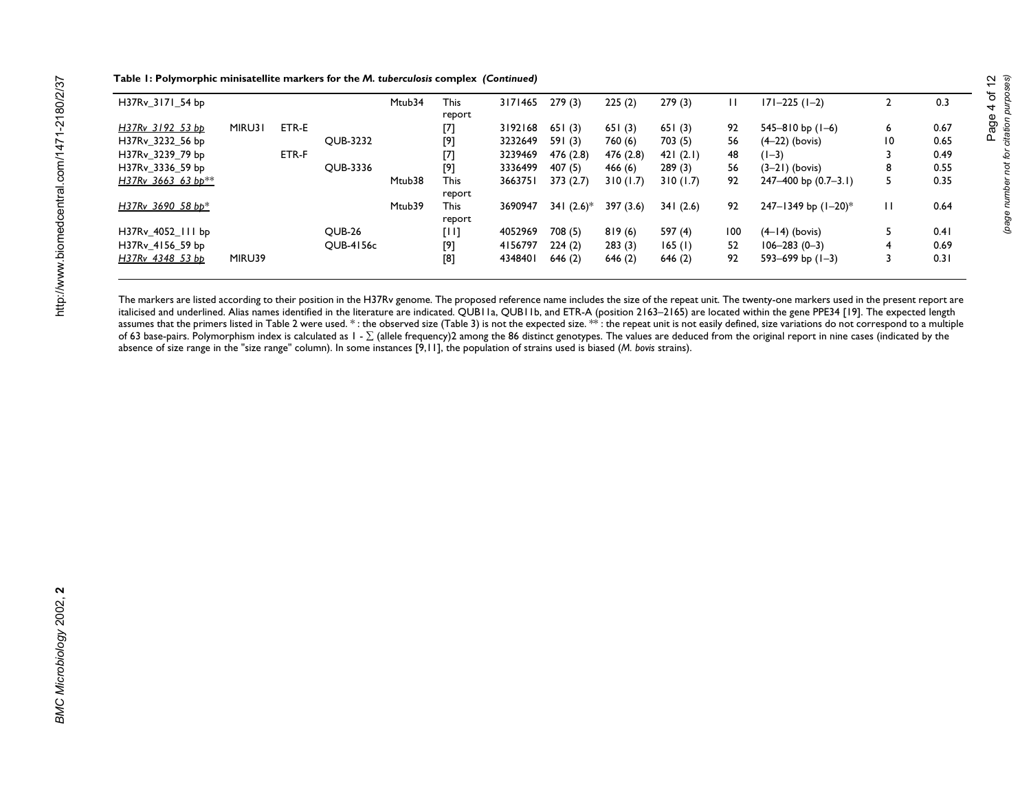| Table 1: Polymorphic minisatellite markers for the M. tuberculosis complex (Continued) |  |
|----------------------------------------------------------------------------------------|--|
|----------------------------------------------------------------------------------------|--|

| H37Rv 3171 54 bp     |        |       |                  | Mtub34 | <b>This</b><br>report | 3171465 | 279(3)        | 225(2)    | 279(3)   |     | $ 71 - 225(1 - 2) $    |              | 0.3  |
|----------------------|--------|-------|------------------|--------|-----------------------|---------|---------------|-----------|----------|-----|------------------------|--------------|------|
| H37Rv 3192 53 bb     | MIRU31 | ETR-E |                  |        | [7]                   | 3192168 | 651(3)        | 651(3)    | 651(3)   | 92  | 545-810 bp (1-6)       | 6            | 0.67 |
| H37Rv 3232 56 bp     |        |       | <b>OUB-3232</b>  |        | [9]                   | 3232649 | 591(3)        | 760 (6)   | 703(5)   | 56  | $(4-22)$ (bovis)       | 10           | 0.65 |
| H37Rv 3239 79 bp     |        | ETR-F |                  |        | [7]                   | 3239469 | 476 (2.8)     | 476 (2.8) | 421(2.1) | 48  | $(1-3)$                |              | 0.49 |
| H37Rv 3336 59 bp     |        |       | <b>OUB-3336</b>  |        | [9]                   | 3336499 | 407(5)        | 466(6)    | 289(3)   | 56  | $(3-21)$ (bovis)       | 8            | 0.55 |
| $H37Rv$ 3663 63 bp** |        |       |                  | Mtub38 | <b>This</b>           | 3663751 | 373(2.7)      | 310(1.7)  | 310(1.7) | 92  | 247-400 bp (0.7-3.1)   | 5            | 0.35 |
|                      |        |       |                  |        | report                |         |               |           |          |     |                        |              |      |
| H37Rv 3690 58 bp*    |        |       |                  | Mtub39 | <b>This</b>           | 3690947 | 341 $(2.6)^*$ | 397(3.6)  | 341(2.6) | 92  | 247-1349 bp (1-20)*    | $\mathbf{L}$ | 0.64 |
|                      |        |       |                  |        | report                |         |               |           |          |     |                        |              |      |
| H37Rv 4052 111 bp    |        |       | <b>OUB-26</b>    |        | [1!]                  | 4052969 | 708(5)        | 819(6)    | 597 (4)  | 100 | $(4-14)$ (bovis)       |              | 0.41 |
| H37Rv 4156 59 bp     |        |       | <b>OUB-4156c</b> |        | [9]                   | 4156797 | 224(2)        | 283(3)    | 165(1)   | 52  | $106 - 283(0 - 3)$     | 4            | 0.69 |
| H37Rv 4348 53 bb     | MIRU39 |       |                  |        | [8]                   | 4348401 | 646(2)        | 646(2)    | 646(2)   | 92  | $593 - 699$ bp $(1-3)$ |              | 0.31 |

The markers are listed according to their position in the H37Rv genome. The proposed reference name includes the size of the repeat unit. The twenty-one markers used in the present report are italicised and underlined. Alias names identified in the literature are indicated. QUB11a, QUB11b, and ETR-A (position 2163–2165) are located within the gene PPE34 [19]. The expected length assumes that the primers listed in Table [2](#page-4-0) were used. \* : the observed size (Table [3\)](#page-5-0) is not the expected size. \*\* : the repeat unit is not easily defined, size variations do not correspond to a multiple of 63 base-pairs. Polymorphism index is calculated as  $1$  -  $\Sigma$  (allele frequency)2 among the 86 distinct genotypes. The values are deduced from the original report in nine cases (indicated by the absence of size range in the "size range" column). In some instances [9,11], the population of strains used is biased (*M. bovis* strains).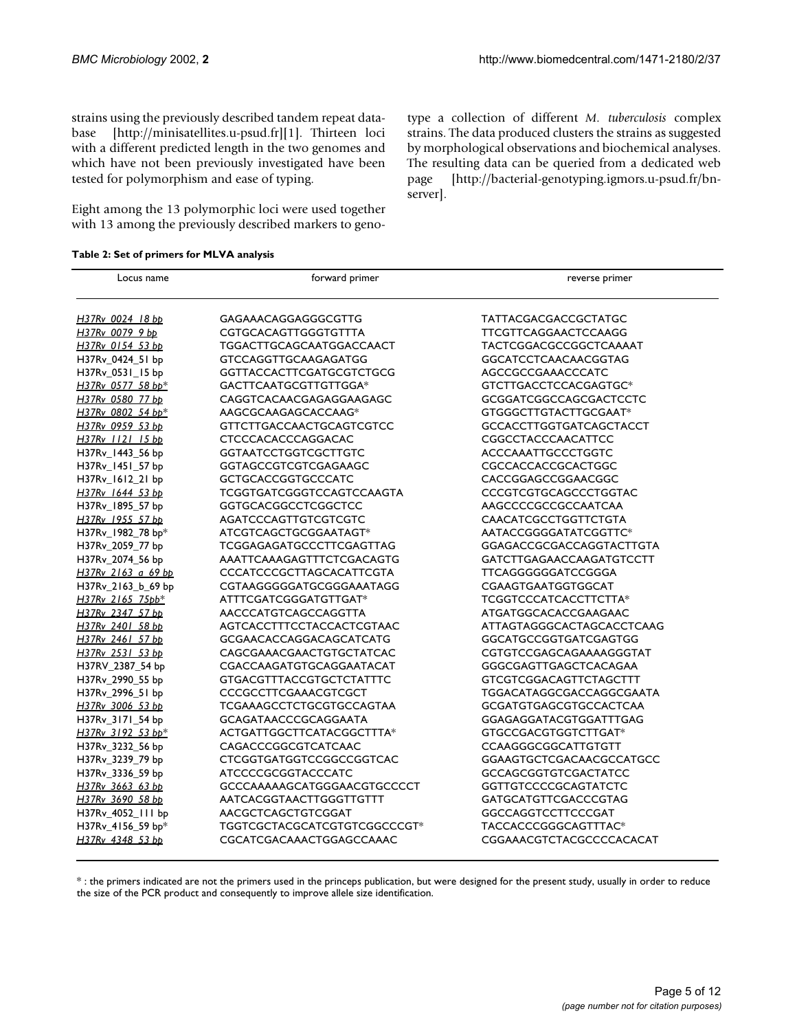<span id="page-4-0"></span>[strains using the previously described tandem repeat data](http://minisatellites.u-psud.fr)base [http://minisatellites.u-psud.fr][1]. Thirteen loci with a different predicted length in the two genomes and which have not been previously investigated have been tested for polymorphism and ease of typing.

<span id="page-4-1"></span>Eight among the 13 polymorphic loci were used together with 13 among the previously described markers to genotype a collection of different *M. tuberculosis* [complex](http://bacterial-genotyping.igmors.u-psud.fr/bnserver) [strains. The data produced clusters the strains as suggested](http://bacterial-genotyping.igmors.u-psud.fr/bnserver) by morphological observations and biochemical analyses. The resulting data can be queried from a dedicated web page [http://bacterial-genotyping.igmors.u-psud.fr/bn[server\].](http://bacterial-genotyping.igmors.u-psud.fr/bnserver)

**Table 2: Set of primers for MLVA analysis** 

| Locus name         | forward primer                   | reverse primer                  |  |  |  |  |  |  |
|--------------------|----------------------------------|---------------------------------|--|--|--|--|--|--|
| H37Rv_0024_18 bp   | GAGAAACAGGAGGGCGTTG              | TATTACGACGACCGCTATGC            |  |  |  |  |  |  |
| H37Rv 0079 9 bb    | <b>CGTGCACAGTTGGGTGTTTA</b>      | <b>TTCGTTCAGGAACTCCAAGG</b>     |  |  |  |  |  |  |
| H37Rv 0154 53 bp   | TGGACTTGCAGCAATGGACCAACT         | <b>TACTCGGACGCCGGCTCAAAAT</b>   |  |  |  |  |  |  |
| H37Rv 0424 51 bp   | <b>GTCCAGGTTGCAAGAGATGG</b>      | <b>GGCATCCTCAACAACGGTAG</b>     |  |  |  |  |  |  |
| H37Rv_0531_15 bp   | <b>GGTTACCACTTCGATGCGTCTGCG</b>  | <b>AGCCGCCGAAACCCATC</b>        |  |  |  |  |  |  |
| H37Rv 0577 58 bp*  | GACTTCAATGCGTTGTTGGA*            | GTCTTGACCTCCACGAGTGC*           |  |  |  |  |  |  |
| H37Rv 0580 77 bb   | CAGGTCACAACGAGAGGAAGAGC          | <b>GCGGATCGGCCAGCGACTCCTC</b>   |  |  |  |  |  |  |
| H37Rv 0802 54 bp*  | AAGCGCAAGAGCACCAAG*              | GTGGGCTTGTACTTGCGAAT*           |  |  |  |  |  |  |
| H37Rv 0959 53 bb   | <b>GTTCTTGACCAACTGCAGTCGTCC</b>  | <b>GCCACCTTGGTGATCAGCTACCT</b>  |  |  |  |  |  |  |
| H37Rv 1121 15 bb   | <b>CTCCCACACCCAGGACAC</b>        | <b>CGGCCTACCCAACATTCC</b>       |  |  |  |  |  |  |
| H37Rv_1443_56 bp   | <b>GGTAATCCTGGTCGCTTGTC</b>      | <b>ACCCAAATTGCCCTGGTC</b>       |  |  |  |  |  |  |
| H37Rv_1451_57 bp   | <b>GGTAGCCGTCGTCGAGAAGC</b>      | CGCCACCACCGCACTGGC              |  |  |  |  |  |  |
| H37Rv_1612_21 bp   | <b>GCTGCACCGGTGCCCATC</b>        | CACCGGAGCCGGAACGGC              |  |  |  |  |  |  |
| H37Rv 1644 53 bp   | <b>TCGGTGATCGGGTCCAGTCCAAGTA</b> | <b>CCCGTCGTGCAGCCCTGGTAC</b>    |  |  |  |  |  |  |
| H37Rv_1895_57 bp   | <b>GGTGCACGGCCTCGGCTCC</b>       | AAGCCCCGCCGCCAATCAA             |  |  |  |  |  |  |
| H37Rv_1955_57_bb   | <b>AGATCCCAGTTGTCGTCGTC</b>      | <b>CAACATCGCCTGGTTCTGTA</b>     |  |  |  |  |  |  |
| H37Rv_1982_78 bp*  | ATCGTCAGCTGCGGAATAGT*            | AATACCGGGGATATCGGTTC*           |  |  |  |  |  |  |
| H37Rv_2059_77 bp   | TCGGAGAGATGCCCTTCGAGTTAG         | <b>GGAGACCGCGACCAGGTACTTGTA</b> |  |  |  |  |  |  |
| H37Rv_2074_56 bp   | AAATTCAAAGAGTTTCTCGACAGTG        | <b>GATCTTGAGAACCAAGATGTCCTT</b> |  |  |  |  |  |  |
| H37Rv 2163 a 69 bp | <b>CCCATCCCGCTTAGCACATTCGTA</b>  | <b>TTCAGGGGGGATCCGGGA</b>       |  |  |  |  |  |  |
| H37Rv_2163_b_69 bp | CGTAAGGGGGATGCGGGAAATAGG         | CGAAGTGAATGGTGGCAT              |  |  |  |  |  |  |
| H37Rv 2165_75pb*   | ATTTCGATCGGGATGTTGAT*            | TCGGTCCCATCACCTTCTTA*           |  |  |  |  |  |  |
| H37Rv 2347 57 bp   | AACCCATGTCAGCCAGGTTA             | ATGATGGCACACCGAAGAAC            |  |  |  |  |  |  |
| H37Rv 2401 58 bp   | AGTCACCTTTCCTACCACTCGTAAC        | ATTAGTAGGGCACTAGCACCTCAAG       |  |  |  |  |  |  |
| H37Rv 2461 57 bp   | <b>GCGAACACCAGGACAGCATCATG</b>   | <b>GGCATGCCGGTGATCGAGTGG</b>    |  |  |  |  |  |  |
| H37Rv 2531 53 bp   | CAGCGAAACGAACTGTGCTATCAC         | CGTGTCCGAGCAGAAAAGGGTAT         |  |  |  |  |  |  |
| H37RV_2387_54 bp   | CGACCAAGATGTGCAGGAATACAT         | <b>GGGCGAGTTGAGCTCACAGAA</b>    |  |  |  |  |  |  |
| H37Rv 2990 55 bp   | GTGACGTTTACCGTGCTCTATTTC         | <b>GTCGTCGGACAGTTCTAGCTTT</b>   |  |  |  |  |  |  |
| H37Rv_2996_51 bp   | <b>CCCGCCTTCGAAACGTCGCT</b>      | TGGACATAGGCGACCAGGCGAATA        |  |  |  |  |  |  |
| H37Rv 3006 53 bp   | <b>TCGAAAGCCTCTGCGTGCCAGTAA</b>  | <b>GCGATGTGAGCGTGCCACTCAA</b>   |  |  |  |  |  |  |
| H37Rv_3171_54 bp   | <b>GCAGATAACCCGCAGGAATA</b>      | GGAGAGGATACGTGGATTTGAG          |  |  |  |  |  |  |
| H37Rv 3192 53 bp*  | ACTGATTGGCTTCATACGGCTTTA*        | GTGCCGACGTGGTCTTGAT*            |  |  |  |  |  |  |
| H37Rv_3232_56 bp   | CAGACCCGGCGTCATCAAC              | <b>CCAAGGGCGGCATTGTGTT</b>      |  |  |  |  |  |  |
| H37Rv 3239 79 bp   | <b>CTCGGTGATGGTCCGGCCGGTCAC</b>  | <b>GGAAGTGCTCGACAACGCCATGCC</b> |  |  |  |  |  |  |
| H37Rv_3336_59 bp   | <b>ATCCCCGCGGTACCCATC</b>        | <b>GCCAGCGGTGTCGACTATCC</b>     |  |  |  |  |  |  |
| H37Rv 3663 63 bp   | GCCCAAAAAGCATGGGAACGTGCCCCT      | <b>GGTTGTCCCCGCAGTATCTC</b>     |  |  |  |  |  |  |
| H37Rv 3690 58 bb   | AATCACGGTAACTTGGGTTGTTT          | <b>GATGCATGTTCGACCCGTAG</b>     |  |  |  |  |  |  |
| H37Rv_4052_111 bp  | AACGCTCAGCTGTCGGAT               | GGCCAGGTCCTTCCCGAT              |  |  |  |  |  |  |
| H37Rv_4156_59 bp*  | TGGTCGCTACGCATCGTGTCGGCCCGT*     | TACCACCCGGGCAGTTTAC*            |  |  |  |  |  |  |
| H37Rv 4348 53 bb   | CGCATCGACAAACTGGAGCCAAAC         | CGGAAACGTCTACGCCCCACACAT        |  |  |  |  |  |  |

\* : the primers indicated are not the primers used in the princeps publication, but were designed for the present study, usually in order to reduce the size of the PCR product and consequently to improve allele size identification.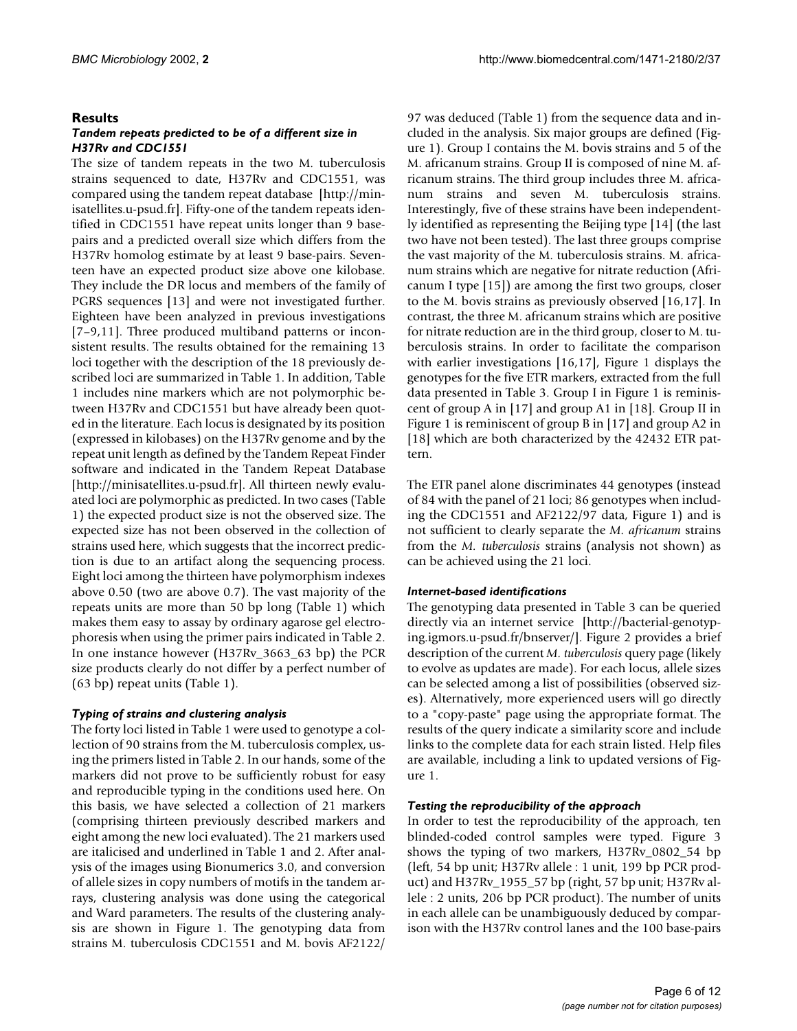# **Results**

# *Tandem repeats predicted to be of a different size in H37Rv and CDC1551*

[The size of tandem repeats in the two M. tuberculosis](http://minisatellites.u-psud.fr) strains sequenced to date, H37Rv and CDC1551, was compared using the tandem repeat database [http://minisatellites.u-psud.fr]. Fifty-one of the tandem repeats identified in CDC1551 have repeat units longer than 9 basepairs and a predicted overall size which differs from the H37Rv homolog estimate by at least 9 base-pairs. Seventeen have an expected product size above one kilobase. They include the DR locus and members of the family of PGRS sequences [13] and were not investigated further. Eighteen have been analyzed in previous investigations [7–9,11]. Three produced multiband patterns or inconsistent results. The results obtained for the remaining 13 loci together with the description of the 18 previously described loci are summarized in Table 1. In addition, Table 1 includes nine markers which are not polymorphic between H37Rv and CDC1551 but have already been quoted in the literature. Each locus is designated by its position (expressed in kilobases) on the H37Rv genome and by the repeat unit length as defined by the Tandem Repeat Finder software and indicated in the Tandem Repeat Database [\[http://minisatellites.u-psud.fr\]. All thirteen newly evalu](http://minisatellites.u-psud.fr)[ated loci are polymorphic as predicted. In two cases \(Table](http://minisatellites.u-psud.fr) 1) the expected product size is not the observed size. The expected size has not been observed in the collection of strains used here, which suggests that the incorrect prediction is due to an artifact along the sequencing process. Eight loci among the thirteen have polymorphism indexes above 0.50 (two are above 0.7). The vast majority of the repeats units are more than 50 bp long (Table 1) which makes them easy to assay by ordinary agarose gel electrophoresis when using the primer pairs indicated in Table [2.](#page-4-1) In one instance however (H37Rv\_3663\_63 bp) the PCR size products clearly do not differ by a perfect number of (63 bp) repeat units (Table 1).

# *Typing of strains and clustering analysis*

The forty loci listed in Table 1 were used to genotype a collection of 90 strains from the M. tuberculosis complex, using the primers listed in Table [2.](#page-4-1) In our hands, some of the markers did not prove to be sufficiently robust for easy and reproducible typing in the conditions used here. On this basis, we have selected a collection of 21 markers (comprising thirteen previously described markers and eight among the new loci evaluated). The 21 markers used are italicised and underlined in Table 1 and [2](#page-4-1). After analysis of the images using Bionumerics 3.0, and conversion of allele sizes in copy numbers of motifs in the tandem arrays, clustering analysis was done using the categorical and Ward parameters. The results of the clustering analysis are shown in Figure 1. The genotyping data from strains M. tuberculosis CDC1551 and M. bovis AF2122/

97 was deduced (Table 1) from the sequence data and included in the analysis. Six major groups are defined (Figure 1). Group I contains the M. bovis strains and 5 of the M. africanum strains. Group II is composed of nine M. africanum strains. The third group includes three M. africanum strains and seven M. tuberculosis strains. Interestingly, five of these strains have been independently identified as representing the Beijing type [14] (the last two have not been tested). The last three groups comprise the vast majority of the M. tuberculosis strains. M. africanum strains which are negative for nitrate reduction (Africanum I type [15]) are among the first two groups, closer to the M. bovis strains as previously observed [16,17]. In contrast, the three M. africanum strains which are positive for nitrate reduction are in the third group, closer to M. tuberculosis strains. In order to facilitate the comparison with earlier investigations [16,17], Figure 1 displays the genotypes for the five ETR markers, extracted from the full data presented in Table [3.](#page-5-1) Group I in Figure 1 is reminiscent of group A in [17] and group A1 in [18]. Group II in Figure 1 is reminiscent of group B in [17] and group A2 in [18] which are both characterized by the 42432 ETR pattern.

The ETR panel alone discriminates 44 genotypes (instead of 84 with the panel of 21 loci; 86 genotypes when including the CDC1551 and AF2122/97 data, Figure 1) and is not sufficient to clearly separate the *M. africanum* strains from the *M. tuberculosis* strains (analysis not shown) as can be achieved using the 21 loci.

# <span id="page-5-0"></span>*Internet-based identifications*

[The genotyping data presented in Table 3 can be queried](http://bacterial-genotyping.igmors.u-psud.fr/bnserver/) directly via an internet service [http://bacterial-genotyping.igmors.u-psud.fr/bnserver/]. Figure [2](#page-7-0) provides a brief [description of the current](http://bacterial-genotyping.igmors.u-psud.fr/bnserver/) *M. tuberculosis* query page (likely to evolve as updates are made). For each locus, allele sizes can be selected among a list of possibilities (observed sizes). Alternatively, more experienced users will go directly to a "copy-paste" page using the appropriate format. The results of the query indicate a similarity score and include links to the complete data for each strain listed. Help files are available, including a link to updated versions of Figure 1.

# *Testing the reproducibility of the approach*

<span id="page-5-1"></span>In order to test the reproducibility of the approach, ten blinded-coded control samples were typed. Figure [3](#page-10-0) shows the typing of two markers, H37Rv\_0802\_54 bp (left, 54 bp unit; H37Rv allele : 1 unit, 199 bp PCR product) and H37Rv\_1955\_57 bp (right, 57 bp unit; H37Rv allele : 2 units, 206 bp PCR product). The number of units in each allele can be unambiguously deduced by comparison with the H37Rv control lanes and the 100 base-pairs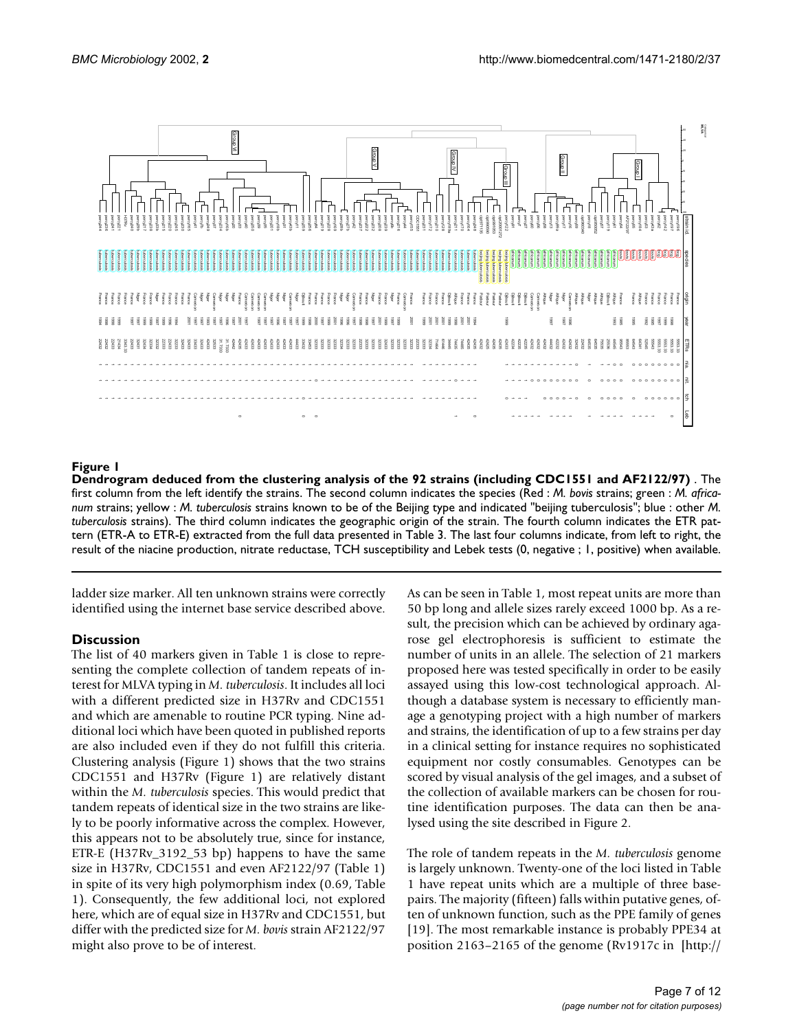

# **Figure 1**

**Dendrogram deduced from the clustering analysis of the 92 strains (including CDC1551 and AF2122/97)** . The first column from the left identify the strains. The second column indicates the species (Red : *M. bovis* strains; green : *M. africanum* strains; yellow : *M. tuberculosis* strains known to be of the Beijing type and indicated "beijing tuberculosis"; blue : other *M. tuberculosis* strains). The third column indicates the geographic origin of the strain. The fourth column indicates the ETR pattern (ETR-A to ETR-E) extracted from the full data presented in Table [3](#page-5-1). The last four columns indicate, from left to right, the

ladder size marker. All ten unknown strains were correctly identified using the internet base service described above.

# **Discussion**

The list of 40 markers given in Table 1 is close to representing the complete collection of tandem repeats of interest for MLVA typing in *M. tuberculosis*. It includes all loci with a different predicted size in H37Rv and CDC1551 and which are amenable to routine PCR typing. Nine additional loci which have been quoted in published reports are also included even if they do not fulfill this criteria. Clustering analysis (Figure 1) shows that the two strains CDC1551 and H37Rv (Figure 1) are relatively distant within the *M. tuberculosis* species. This would predict that tandem repeats of identical size in the two strains are likely to be poorly informative across the complex. However, this appears not to be absolutely true, since for instance, ETR-E (H37Rv\_3192\_53 bp) happens to have the same size in H37Rv, CDC1551 and even AF2122/97 (Table 1) in spite of its very high polymorphism index (0.69, Table 1). Consequently, the few additional loci, not explored here, which are of equal size in H37Rv and CDC1551, but differ with the predicted size for *M. bovis* strain AF2122/97 might also prove to be of interest.

As can be seen in Table 1, most repeat units are more than 50 bp long and allele sizes rarely exceed 1000 bp. As a result, the precision which can be achieved by ordinary agarose gel electrophoresis is sufficient to estimate the number of units in an allele. The selection of 21 markers proposed here was tested specifically in order to be easily assayed using this low-cost technological approach. Although a database system is necessary to efficiently manage a genotyping project with a high number of markers and strains, the identification of up to a few strains per day in a clinical setting for instance requires no sophisticated equipment nor costly consumables. Genotypes can be scored by visual analysis of the gel images, and a subset of the collection of available markers can be chosen for routine identification purposes. The data can then be analysed using the site described in Figure [2.](#page-7-0)

The role of tandem repeats in the *M. tuberculosis* [genome](http://genolist.pasteur.fr/TubercuList/) is largely unknown. Twenty-one of the loci listed in Table [1 have repeat units which are a multiple of three base](http://genolist.pasteur.fr/TubercuList/)pairs. The majority (fifteen) falls within putative genes, often of unknown function, such as the PPE family of genes [19]. The most remarkable instance is probably PPE34 at [position 2163–2165 of the genome \(Rv1917c in \[http:/](http://genolist.pasteur.fr/TubercuList/)/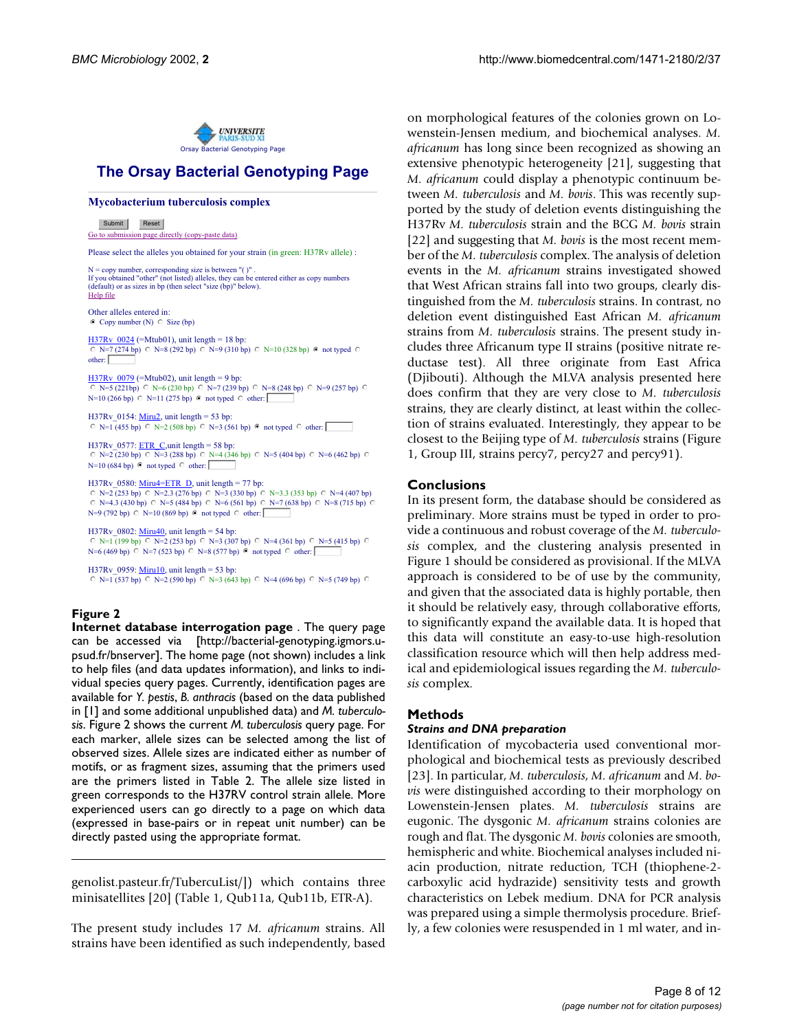

# The Orsay Bacterial Genotyping Page

### **Mycobacterium tuberculosis complex**

Submit Reset

Go to submission page directly (copy-paste data)

Please select the alleles you obtained for your strain (in green: H37Rv allele) :

N = copy number, corresponding size is between "( )" . If you obtained "other" (not listed) alleles, they can be entered either as copy numbers (default) or as sizes in bp (then select "size (bp)" below). Help file

Other alleles entered in:  $\bullet$  Copy number (N)  $\circ$  Size (bp)

 $H37Rv_0024$  (=Mtub01), unit length = 18 bp:  $\degree$  N=7 (274 bp)  $\degree$  N=8 (292 bp)  $\degree$  N=9 (310 bp)  $\degree$  N=10 (328 bp)  $\degree$  not typed  $\degree$ other:

 $H37Rv$  0079 (=Mtub02), unit length = 9 bp:  $\degree$  N=5 (221bp)  $\degree$  N=6 (230 bp)  $\degree$  N=7 (239 bp)  $\degree$  N=8 (248 bp)  $\degree$  N=9 (257 bp)  $\degree$  $N=10$  (266 bp)  $\circ$  N=11 (275 bp)  $\circ$  not typed  $\circ$  other:

H37Rv\_0154: <u>Miru2</u>, unit length = 53 bp:  $\degree$  N=1 (455 bp)  $\degree$  N=2 (508 bp)  $\degree$  N=3 (561 bp)  $\degree$  not typed  $\degree$  other:

H37Rv\_0577: <u>ETR\_C</u>,unit length = 58 bp:  $\degree$  N=2 (230 bp)  $\degree$  N=3 (288 bp)  $\degree$  N=4 (346 bp)  $\degree$  N=5 (404 bp)  $\degree$  N=6 (462 bp)  $\degree$  $N=10$  (684 bp)  $\odot$  not typed  $\odot$  other:

H37Rv 0580: Miru4=ETR\_D, unit length = 77 bp: C N=2 (253 bp) ○ N=2.3 (276 bp) ○ N=3 (330 bp) ○ N=3.3 (353 bp) ○ N=4 (407 bp)<br>○ N=4.3 (430 bp) ○ N=5 (484 bp) ○ N=6 (561 bp) ○ N=7 (638 bp) ○ N=8 (715 bp) ○

 $N=9$  (792 bp)  $\circ$   $N=10$  (869 bp)  $\circ$  not typed  $\circ$  other:

H37Rv\_0802: <u>Miru40</u>, unit length = 54 bp:  $\degree$  N=1 (199 bp)  $\degree$  N=2 (253 bp)  $\degree$  N=3 (307 bp)  $\degree$  N=4 (361 bp)  $\degree$  N=5 (415 bp)  $\degree$  $N=6$  (469 bp)  $\circ$  N=7 (523 bp)  $\circ$  N=8 (577 bp)  $\circ$  not typed  $\circ$  other:

H37Rv 0959: Miru10, unit length = 53 bp:  $\degree$  N=1 (537 bp)  $\degree$  N=2 (590 bp)  $\degree$  N=3 (643 bp)  $\degree$  N=4 (696 bp)  $\degree$  N=5 (749 bp)  $\degree$ 

# <span id="page-7-0"></span>**Figure 2**

**Internet database interrogation page** [. The query page](http://bacterial-genotyping.igmors.u-psud.fr/bnserver) [can be accessed via \[http://bacterial-genotyping.igmors.u](http://bacterial-genotyping.igmors.u-psud.fr/bnserver)psud.fr/bnserver]. The home page (not shown) includes a link to help files (and data updates information), and links to individual species query pages. Currently, identification pages are [available for](http://bacterial-genotyping.igmors.u-psud.fr/bnserver) *Y. pestis*, *B. anthracis* (based on the data published in [1] and some additional unpublished data) and *M. tuberculosis*. Figure [2](#page-7-0) shows the current *M. tuberculosis* query page. For each marker, allele sizes can be selected among the list of observed sizes. Allele sizes are indicated either as number of motifs, or as fragment sizes, assuming that the primers used are the primers listed in Table [2](#page-4-1). The allele size listed in green corresponds to the H37RV control strain allele. More experienced users can go directly to a page on which data (expressed in base-pairs or in repeat unit number) can be directly pasted using the appropriate format.

[genolist.pasteur.fr/TubercuList/\]\) which contains three](http://genolist.pasteur.fr/TubercuList/) minisatellites [20] (Table 1, Qub11a, Qub11b, ETR-A).

The present study includes 17 *M. africanum* strains. All strains have been identified as such independently, based

on morphological features of the colonies grown on Lowenstein-Jensen medium, and biochemical analyses. *M. africanum* has long since been recognized as showing an extensive phenotypic heterogeneity [21], suggesting that *M. africanum* could display a phenotypic continuum between *M. tuberculosis* and *M. bovis*. This was recently supported by the study of deletion events distinguishing the H37Rv *M. tuberculosis* strain and the BCG *M. bovis* strain [22] and suggesting that *M. bovis* is the most recent member of the *M. tuberculosis* complex. The analysis of deletion events in the *M. africanum* strains investigated showed that West African strains fall into two groups, clearly distinguished from the *M. tuberculosis* strains. In contrast, no deletion event distinguished East African *M. africanum* strains from *M. tuberculosis* strains. The present study includes three Africanum type II strains (positive nitrate reductase test). All three originate from East Africa (Djibouti). Although the MLVA analysis presented here does confirm that they are very close to *M. tuberculosis* strains, they are clearly distinct, at least within the collection of strains evaluated. Interestingly, they appear to be closest to the Beijing type of *M. tuberculosis* strains (Figure 1, Group III, strains percy7, percy27 and percy91).

# **Conclusions**

In its present form, the database should be considered as preliminary. More strains must be typed in order to provide a continuous and robust coverage of the *M. tuberculosis* complex, and the clustering analysis presented in Figure 1 should be considered as provisional. If the MLVA approach is considered to be of use by the community, and given that the associated data is highly portable, then it should be relatively easy, through collaborative efforts, to significantly expand the available data. It is hoped that this data will constitute an easy-to-use high-resolution classification resource which will then help address medical and epidemiological issues regarding the *M. tuberculosis* complex.

# **Methods**

# *Strains and DNA preparation*

Identification of mycobacteria used conventional morphological and biochemical tests as previously described [23]. In particular, *M. tuberculosis*, *M. africanum* and *M. bovis* were distinguished according to their morphology on Lowenstein-Jensen plates. *M. tuberculosis* strains are eugonic. The dysgonic *M. africanum* strains colonies are rough and flat. The dysgonic *M. bovis* colonies are smooth, hemispheric and white. Biochemical analyses included niacin production, nitrate reduction, TCH (thiophene-2 carboxylic acid hydrazide) sensitivity tests and growth characteristics on Lebek medium. DNA for PCR analysis was prepared using a simple thermolysis procedure. Briefly, a few colonies were resuspended in 1 ml water, and in-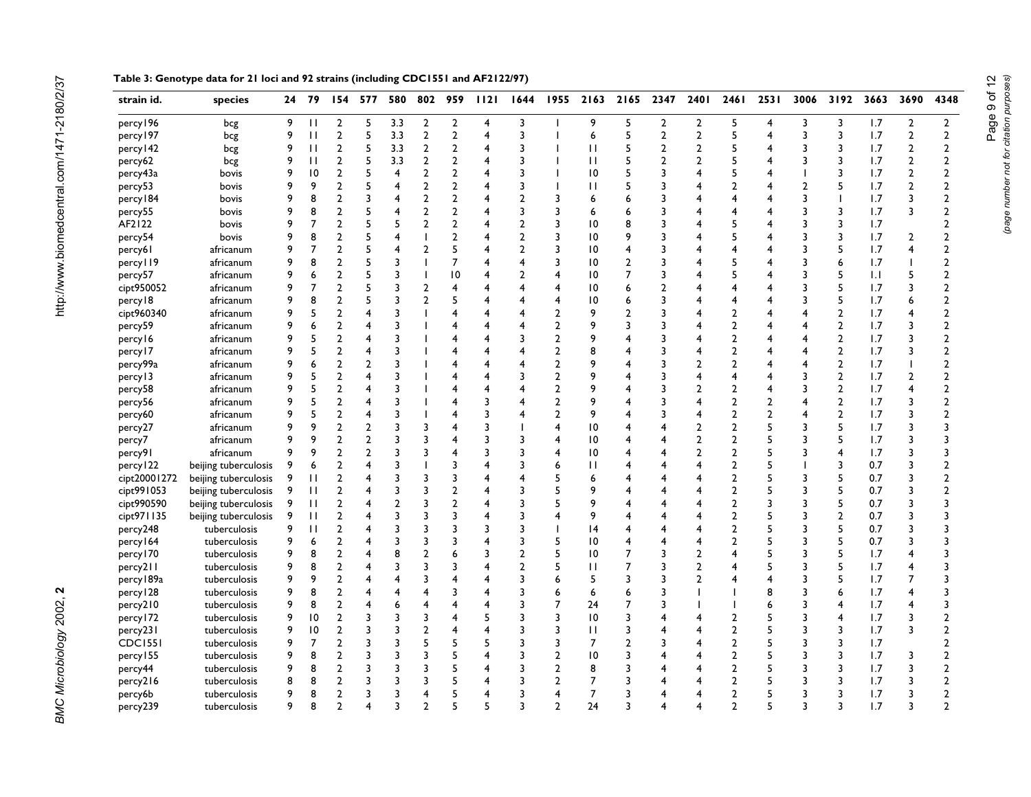| $\overline{2}$<br>5<br>3.3<br>$\overline{2}$<br>$\overline{2}$<br>3<br>9<br>5<br>$\overline{2}$<br>$\overline{2}$<br>5<br>percy 196<br>9<br>П<br>4<br>$\overline{4}$<br>3<br>bcg<br>$\overline{2}$<br>5<br>$\overline{2}$<br>$\overline{2}$<br>3<br>5<br>5<br>3<br>percy 197<br>9<br>$\mathbf{H}$<br>3.3<br>4<br>6<br>$\overline{2}$<br>2<br>$\overline{\mathbf{A}}$<br>bcg<br>3 | 1.7<br>3<br>$\overline{2}$<br>3<br>1.7<br>$\overline{2}$<br>1.7<br>2<br>3<br>3<br>1.7<br>2<br>3<br>1.7<br>$\overline{2}$ | $\overline{2}$<br>$\overline{2}$ |
|----------------------------------------------------------------------------------------------------------------------------------------------------------------------------------------------------------------------------------------------------------------------------------------------------------------------------------------------------------------------------------|--------------------------------------------------------------------------------------------------------------------------|----------------------------------|
|                                                                                                                                                                                                                                                                                                                                                                                  |                                                                                                                          |                                  |
|                                                                                                                                                                                                                                                                                                                                                                                  |                                                                                                                          |                                  |
| 2<br>5<br>3.3<br>$\overline{2}$<br>$\overline{2}$<br>5<br>percy 142<br>9<br>П<br>3<br>П<br>5<br>2<br>$\overline{2}$<br>bcg<br>4                                                                                                                                                                                                                                                  |                                                                                                                          | $\overline{2}$                   |
| $\overline{2}$<br>5<br>3.3<br>$\overline{2}$<br>$\overline{2}$<br>5<br>9<br>П<br>3<br>П<br>5<br>2<br>$\overline{2}$<br>3<br>percy62<br>bcg                                                                                                                                                                                                                                       |                                                                                                                          | $\overline{2}$                   |
| $\overline{2}$<br>9<br>10<br>$\overline{2}$<br>5<br>$\overline{2}$<br>3<br>10<br>5<br>percy43a<br>4<br>5<br>3<br>bovis                                                                                                                                                                                                                                                           |                                                                                                                          | $\overline{2}$                   |
| $\overline{2}$<br>$\overline{2}$<br>$\overline{2}$<br>9<br>9<br>5<br>4<br>3<br>$\overline{2}$<br>$\overline{2}$<br>percy53<br>П<br>5<br>3<br>bovis                                                                                                                                                                                                                               | 5<br>1.7<br>$\overline{2}$                                                                                               | $\overline{2}$                   |
| 8<br>2<br>3<br>$\overline{2}$<br>$\overline{2}$<br>2<br>3<br>percy 184<br>9<br>4<br>3<br>6<br>3<br>4<br>bovis<br>4                                                                                                                                                                                                                                                               | 1.7<br>3                                                                                                                 | $\overline{2}$                   |
| 9<br>8<br>$\overline{2}$<br>5<br>4<br>$\overline{2}$<br>$\overline{2}$<br>3<br>3<br>6<br>3<br>3<br>percy55<br>4<br>4<br>bovis<br>6                                                                                                                                                                                                                                               | 1.7<br>3<br>3                                                                                                            | $\overline{2}$                   |
| AF2122<br>5<br>$\overline{2}$<br>9<br>$\overline{7}$<br>$\overline{2}$<br>5<br>$\overline{2}$<br>$\overline{2}$<br>3<br> 0<br>5<br>3<br>4<br>8<br>3<br>4<br>bovis                                                                                                                                                                                                                | 3<br>1.7                                                                                                                 | $\overline{2}$                   |
| 8<br>$\overline{2}$<br>5<br>$\overline{2}$<br>9<br>4<br>$\blacksquare$<br>$\overline{2}$<br>3<br>10<br>9<br>3<br>5<br>3<br>percy54<br>4<br>bovis                                                                                                                                                                                                                                 | 3<br>1.7<br>2                                                                                                            | $\overline{2}$                   |
| 5<br>9<br>$\overline{7}$<br>$\overline{2}$<br>5<br>4<br>$\overline{2}$<br>$\overline{2}$<br>3<br>10<br>3<br>percy61<br>4<br>3<br>4<br>africanum                                                                                                                                                                                                                                  | 5<br>1.7<br>4                                                                                                            | $\overline{2}$                   |
| 7<br>9<br>8<br>$\overline{2}$<br>5<br>3<br>4<br>3<br>5<br>3<br>percy II9<br>ı<br>10<br>$\overline{2}$<br>3<br>africanum<br>4                                                                                                                                                                                                                                                     | 6<br>1.7                                                                                                                 | $\overline{2}$                   |
| 9<br>$\overline{\mathbf{c}}$<br>5<br>3<br>10<br>$\overline{\mathbf{c}}$<br>5<br>6<br>4<br>10<br>7<br>3<br>3<br>percy57<br>4<br>4<br>africanum                                                                                                                                                                                                                                    | 5<br>5<br>1.1                                                                                                            | $\overline{2}$                   |
| $\overline{7}$<br>$\overline{2}$<br>5<br>3<br>9<br>$\overline{2}$<br>4<br>4<br>10<br>3<br>cipt950052<br>4<br>$\overline{2}$<br>4<br>africanum<br>4<br>6<br>4                                                                                                                                                                                                                     | 5<br>3<br>1.7                                                                                                            | $\overline{2}$                   |
| 8<br>$\overline{2}$<br>5<br>3<br>$\overline{2}$<br>5<br>9<br>10<br>3<br>4<br>4<br>3<br>percy18<br>africanum<br>4<br>6                                                                                                                                                                                                                                                            | 5<br>6<br>1.7                                                                                                            | $\overline{2}$                   |
| 5<br>$\overline{2}$<br>9<br>3<br>4<br>2<br>9<br>$\overline{2}$<br>4<br>3<br>cipt960340<br>africanum<br>4<br>2<br>4<br>4<br>4                                                                                                                                                                                                                                                     | $\overline{2}$<br>1.7<br>4                                                                                               | $\overline{2}$                   |
| $\overline{2}$<br>3<br>$\overline{2}$<br>9<br>$\overline{2}$<br>9<br>6<br>4<br>percy59<br>africanum<br>4<br>4<br>3<br>4<br>4<br>4                                                                                                                                                                                                                                                | $\overline{2}$<br>1.7<br>3                                                                                               | $\overline{2}$                   |
| 5<br>$\overline{2}$<br>3<br>$\overline{2}$<br>$\overline{2}$<br>9<br>9<br>4<br>4<br>3<br>3<br>$\overline{4}$<br>4<br>percy16<br>africanum<br>4                                                                                                                                                                                                                                   | $\overline{2}$<br>3<br>1.7                                                                                               | $\overline{2}$                   |
| 5<br>$\overline{2}$<br>3<br>$\overline{2}$<br>9<br>$\overline{2}$<br>8<br>4<br>4<br>4<br>4<br>percy 17<br>africanum<br>4<br>3<br>4                                                                                                                                                                                                                                               | $\overline{2}$<br>1.7<br>3                                                                                               | $\overline{2}$                   |
| 3<br>$\overline{2}$<br>$\overline{2}$<br>9<br>$\overline{2}$<br>percy99a<br>9<br>6<br>2<br>4<br>3<br>africanum<br>4<br>2<br>4<br>4<br>4                                                                                                                                                                                                                                          | $\overline{2}$<br>1.7<br>T                                                                                               | $\overline{2}$                   |
| 5<br>$\overline{2}$<br>3<br>$\overline{2}$<br>9<br>9<br>4<br>4<br>3<br>4<br>3<br>percy 13<br>africanum<br>4                                                                                                                                                                                                                                                                      | $\overline{2}$<br>$\overline{2}$<br>1.7                                                                                  | $\overline{2}$                   |
| $\overline{2}$<br>3<br>9<br>5<br>$\overline{2}$<br>9<br>$\overline{2}$<br>4<br>4<br>4<br>3<br>$\overline{2}$<br>$\overline{4}$<br>3<br>percy58<br>africanum<br>4                                                                                                                                                                                                                 | $\overline{2}$<br>1.7<br>4                                                                                               | $\overline{2}$                   |
| $\overline{2}$<br>9<br>5<br>3<br>$\overline{2}$<br>9<br>$\overline{2}$<br>$\overline{2}$<br>4<br>4<br>3<br>4<br>3<br>4<br>percy56<br>africanum                                                                                                                                                                                                                                   | $\overline{2}$<br>1.7<br>3                                                                                               | $\overline{2}$                   |
| 5<br>2<br>3<br>$\overline{2}$<br>9<br>$\overline{2}$<br>$\overline{2}$<br>9<br>4<br>4<br>3<br>4<br>3<br>4<br>percy60<br>africanum<br>4                                                                                                                                                                                                                                           | $\overline{2}$<br>3<br>1.7                                                                                               | $\overline{2}$                   |
| 5<br>9<br>$\overline{2}$<br>$\overline{2}$<br>3<br>$\overline{2}$<br>9<br>3<br>4<br>3<br>4<br>10<br>$\overline{2}$<br>3<br>percy27<br>africanum                                                                                                                                                                                                                                  | 5<br>3<br>1.7                                                                                                            | $\overline{3}$                   |
| 9<br>$\overline{2}$<br>3<br>$\overline{2}$<br>5<br>9<br>$\overline{2}$<br>3<br>4<br>3<br>3<br>10<br>$\overline{2}$<br>3<br>africanum<br>4<br>percy7                                                                                                                                                                                                                              | 5<br>1.7<br>3                                                                                                            | 3                                |
| $\overline{2}$<br>3<br>5<br>9<br>9<br>$\overline{2}$<br>3<br>4<br>3<br>3<br>10<br>$\overline{2}$<br>$\overline{2}$<br>3<br>percy91<br>africanum<br>4                                                                                                                                                                                                                             | $\overline{4}$<br>1.7<br>3                                                                                               | $\overline{\mathbf{3}}$          |
| $\overline{2}$<br>3<br>3<br>3<br>П<br>2<br>5<br>beijing tuberculosis<br>9<br>6<br>4<br>6<br>percy 122<br>4                                                                                                                                                                                                                                                                       | 3<br>0.7<br>3                                                                                                            | $\overline{2}$                   |
| 3<br>$\overline{2}$<br>3<br>3<br>5<br>$\overline{2}$<br>5<br>3<br>cipt20001272<br>beijing tuberculosis<br>9<br>$\mathbf{H}$<br>4<br>6<br>4                                                                                                                                                                                                                                       | 5<br>0.7<br>3                                                                                                            | $\overline{2}$                   |
| $\overline{2}$<br>3<br>3<br>$\overline{2}$<br>5<br>$\overline{2}$<br>5<br>cipt991053<br>$\mathbf{H}$<br>3<br>9<br>3<br>beijing tuberculosis<br>9<br>4                                                                                                                                                                                                                            | 5<br>$\overline{\mathbf{3}}$<br>0.7                                                                                      | $\overline{2}$                   |
| $\overline{2}$<br>$\overline{2}$<br>$\overline{2}$<br>3<br>3<br>5<br>9<br>$\overline{2}$<br>$\overline{3}$<br>$\mathbf{H}$<br>3<br>cipt990590<br>beijing tuberculosis<br>9<br>4                                                                                                                                                                                                  | 5<br>$\overline{\mathbf{3}}$<br>0.7                                                                                      | $\overline{\mathbf{3}}$          |
| $\overline{\mathbf{c}}$<br>3<br>3<br>3<br>$\mathbf{H}$<br>3<br>9<br>$\overline{2}$<br>5<br>cipt971135<br>beijing tuberculosis<br>9<br>3<br>4<br>4                                                                                                                                                                                                                                | $\overline{2}$<br>0.7<br>3                                                                                               | 3                                |
| $\overline{2}$<br>3<br>3<br>3<br>5<br>$\mathbf{H}$<br>3<br>$\overline{2}$<br>3<br>9<br>3<br> 4<br>percy248<br>tuberculosis<br>4                                                                                                                                                                                                                                                  | 5<br>0.7<br>3                                                                                                            | 3                                |
| $\overline{2}$<br>3<br>3<br>5<br>6<br>3<br>3<br>5<br>10<br>$\overline{2}$<br>3<br>percy 164<br>tuberculosis<br>9<br>4<br>4                                                                                                                                                                                                                                                       | 5<br>0.7<br>3                                                                                                            | 3                                |
| 8<br>$\overline{2}$<br>8<br>$\overline{2}$<br>6<br>$\overline{2}$<br>5<br>5<br>9<br>10<br>7<br>3<br>percy 170<br>tuberculosis<br>4<br>3<br>3<br>2<br>4                                                                                                                                                                                                                           | 5<br>1.7<br>4                                                                                                            | 3                                |
| 8<br>2<br>3<br>3<br>3<br>2<br>5<br>5<br>percy211<br>tuberculosis<br>9<br>П<br>2<br>3<br>4<br>3<br>4                                                                                                                                                                                                                                                                              | 5<br>1.7<br>4                                                                                                            | 3                                |
| 9<br>$\overline{2}$<br>$\overline{4}$<br>3<br>$\overline{4}$<br>percy 189a<br>9<br>3<br>6<br>5<br>3<br>4<br>3<br>tuberculosis<br>4<br>3<br>2<br>4                                                                                                                                                                                                                                | 5<br>1.7<br>7                                                                                                            | 3                                |
| 8<br>9<br>2<br>4<br>3<br>3<br>6<br>8<br>3<br>percy 128<br>tuberculosis<br>4<br>4<br>6<br>3<br>6                                                                                                                                                                                                                                                                                  | 1.7<br>4<br>6                                                                                                            | 3                                |
| $\overline{2}$<br>9<br>8<br>6<br>4<br>3<br>7<br>24<br>3<br>percy210<br>tuberculosis<br>4<br>4<br>4<br>7<br>3<br>6                                                                                                                                                                                                                                                                | 1.7<br>4<br>4                                                                                                            | $\overline{\mathbf{3}}$          |
| 10<br>$\overline{2}$<br>3<br>3<br>3<br>3<br>10<br>5<br>percy 172<br>tuberculosis<br>9<br>3<br>4<br>5<br>3<br>$\overline{2}$<br>3                                                                                                                                                                                                                                                 | 1.7<br>3<br>$\overline{4}$                                                                                               | $\overline{2}$                   |
| 10<br>$\overline{2}$<br>3<br>3<br>$\overline{2}$<br>4<br>3<br>$\overline{2}$<br>5<br>percy231<br>9<br>4<br>3<br>П<br>3<br>3<br>tuberculosis                                                                                                                                                                                                                                      | 1.7<br>3<br>3                                                                                                            | $\overline{2}$                   |
| $\overline{7}$<br>$\overline{2}$<br>3<br>5<br>5<br>5<br><b>CDC1551</b><br>9<br>3<br>5<br>3<br>3<br>$\overline{7}$<br>$\mathcal{P}$<br>$\overline{2}$<br>3<br>tuberculosis<br>3                                                                                                                                                                                                   | 3<br>1.7                                                                                                                 | $\overline{2}$                   |
| 8<br>5<br>percy 155<br>9<br>$\overline{2}$<br>3<br>3<br>3<br>3<br>2<br>10<br>3<br>$\overline{2}$<br>5<br>3<br>tuberculosis<br>4                                                                                                                                                                                                                                                  | 3<br>1.7<br>3                                                                                                            | $\overline{2}$                   |
| 9<br>8<br>$\overline{2}$<br>3<br>3<br>3<br>5<br>3<br>$\overline{2}$<br>8<br>$\overline{2}$<br>5<br>3<br>percy44<br>3<br>tuberculosis<br>4                                                                                                                                                                                                                                        | 3<br>1.7<br>3                                                                                                            | $\overline{2}$                   |
| 5<br>8<br>8<br>$\overline{2}$<br>3<br>3<br>3<br>3<br>$\overline{2}$<br>$\overline{7}$<br>$\overline{2}$<br>5<br>percy216<br>3<br>tuberculosis<br>4<br>3                                                                                                                                                                                                                          | 3<br>1.7<br>3                                                                                                            | $\overline{2}$                   |
| 9<br>8<br>$\overline{2}$<br>3<br>5<br>3<br>$\overline{7}$<br>$\overline{\phantom{0}}$<br>5<br>3<br>4<br>4<br>3<br>percy6b<br>tuberculosis                                                                                                                                                                                                                                        | 3<br>3<br>1.7                                                                                                            | $\overline{2}$                   |
| 9<br>8<br>$\mathfrak{p}$<br>3<br>5<br>C<br>3<br>$\mathfrak{p}$<br>24<br>$\mathfrak{p}$<br>5<br>percy239<br>4<br>3<br>tuberculosis                                                                                                                                                                                                                                                | 3<br>1.7<br>3                                                                                                            | $\mathcal{P}$                    |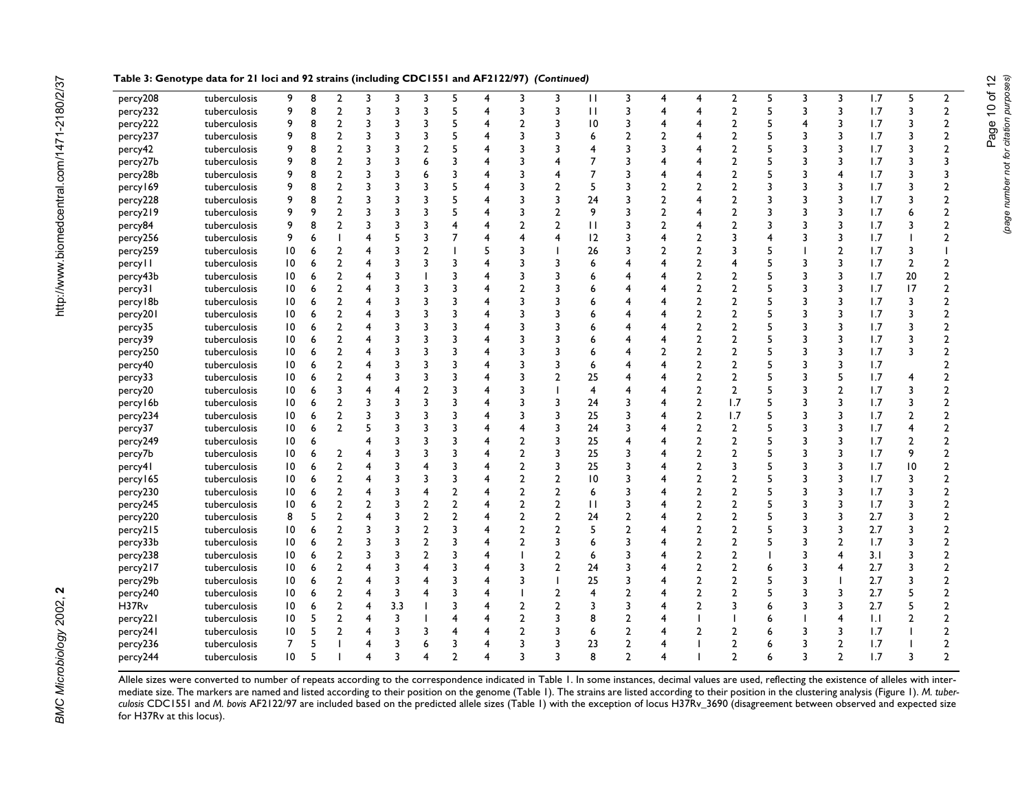| percy208  | tuberculosis | 9               | 8 | $\overline{2}$   | 3                       | 3                       | 3              | 5                       | 4              | 3                       | 3              | $\mathbf{H}$   | 3              | 4              | $\overline{4}$          | $\overline{2}$ | 5 | 3                       | 3              | 1.7 | 5              | $\overline{2}$          |
|-----------|--------------|-----------------|---|------------------|-------------------------|-------------------------|----------------|-------------------------|----------------|-------------------------|----------------|----------------|----------------|----------------|-------------------------|----------------|---|-------------------------|----------------|-----|----------------|-------------------------|
| percy232  | tuberculosis | 9               | 8 | $\overline{2}$   | 3                       | 3                       | 3              | 5                       | 4              | 3                       | 3              | $\mathbf{H}$   | 3              | 4              | 4                       | $\overline{2}$ | 5 | 3                       | 3              | 1.7 | 3              | $\overline{2}$          |
| percy222  | tuberculosis | 9               | 8 | $\overline{2}$   | 3                       | 3                       | 3              | 5                       | 4              | $\overline{2}$          | 3              | 10             | 3              | 4              |                         | $\overline{2}$ | 5 | 4                       | 3              | 1.7 | 3              | $\overline{2}$          |
| percy237  | tuberculosis | 9               | 8 | $\overline{2}$   | 3                       | 3                       | 3              | 5                       | 4              | 3                       | 3              | 6              | $\overline{2}$ | $\overline{2}$ |                         | $\overline{2}$ | 5 | 3                       | 3              | 1.7 | 3              | $\overline{2}$          |
| percy42   | tuberculosis | 9               | 8 | $\overline{a}$   | 3                       | 3                       | $\overline{2}$ | 5                       |                | 3                       |                |                |                | 3              |                         | $\overline{2}$ |   | 3                       | 3              | 1.7 | 3              | $\overline{2}$          |
| percy27b  | tuberculosis | 9               | 8 | $\mathbf 2$      | 3                       | 3                       | 6              | 3                       |                | 3                       |                |                |                | 4              |                         | $\overline{2}$ | 5 | 3                       | 3              | 1.7 | 3              | 3                       |
| percy28b  | tuberculosis | 9               | 8 | $\overline{2}$   | 3                       | 3                       | 6              | 3                       | 4              | 3                       |                |                |                | 4              |                         | $\overline{2}$ | 5 | 3                       | 4              | 1.7 | 3              | 3                       |
| percy169  | tuberculosis | 9               | 8 | $\overline{2}$   | 3                       | 3                       | 3              | 5                       | 4              | 3                       | $\overline{2}$ | 5              |                | $\mathfrak{p}$ | $\overline{2}$          | $\overline{2}$ | 3 | 3                       | 3              | 1.7 | 3              | $\overline{2}$          |
| percy228  | tuberculosis | 9               | 8 | $\overline{2}$   | $\overline{\mathbf{3}}$ | 3                       | 3              | 5                       | 4              | 3                       | 3              | 24             | 3              | $\overline{2}$ | $\overline{\mathbf{A}}$ | 2              | 3 | 3                       | 3              | 1.7 | 3              | $\overline{2}$          |
| percy219  | tuberculosis | 9               | 9 | $\overline{2}$   | 3                       | 3                       | 3              | 5                       | 4              | 3                       | $\overline{2}$ | 9              | 3              | $\overline{2}$ |                         | $\overline{2}$ | 3 | 3                       | 3              | 1.7 | 6              | $\overline{2}$          |
| percy84   | tuberculosis | 9               | 8 | $\overline{2}$   | 3                       | 3                       | $\overline{3}$ | 4                       | 4              | $\overline{2}$          | $\overline{2}$ | $\mathbf{H}$   |                | $\overline{2}$ |                         | $\overline{2}$ | 3 | 3                       | 3              | 1.7 | 3              | $\overline{\mathbf{c}}$ |
| percy256  | tuberculosis | 9               | 6 | I                | 4                       | 5                       | 3              | $\overline{7}$          | 4              | 4                       | 4              | 12             | ٦              | 4              | $\overline{2}$          | 3              |   | 3                       | 3              | 1.7 |                | $\overline{2}$          |
| percy259  | tuberculosis | $\overline{10}$ | 6 | $\overline{2}$   | 4                       | 3                       | $\overline{2}$ |                         | 5              | 3                       |                | 26             | 3              | $\overline{2}$ | $\overline{2}$          | 3              | 5 |                         | $\overline{2}$ | 1.7 | 3              |                         |
| percy II  | tuberculosis | 10              | 6 | $\overline{2}$   | 4                       | 3                       | 3              | $\overline{3}$          | 4              | 3                       |                | 6              |                |                | $\overline{2}$          |                | 5 | 3                       | 3              | 1.7 | $\overline{2}$ | 2                       |
| percy43b  | tuberculosis | 10              | 6 | $\overline{2}$   | 4                       | 3                       |                | 3                       | 4              | 3                       | 3              | 6              |                | 4              | $\mathbf{2}$            | $\overline{2}$ | 5 | 3                       | 3              | 1.7 | 20             | $\boldsymbol{2}$        |
| percy31   | tuberculosis | 10              | 6 | $\overline{2}$   | 4                       | 3                       | 3              | 3                       | 4              | $\overline{2}$          | 3              |                |                |                | $\mathbf{2}$            | $\overline{2}$ | 5 | 3                       | 3              | 1.7 | 17             | $\overline{2}$          |
| percy18b  | tuberculosis | 10              | 6 | $\overline{2}$   | 4                       | 3                       | 3              | $\overline{\mathbf{3}}$ | 4              | 3                       |                |                |                |                | $\overline{2}$          | $\overline{2}$ | 5 | 3                       | 3              | 1.7 | 3              | $\mathbf{2}$            |
| percy201  | tuberculosis | 10              | 6 | $\overline{2}$   | 4                       | 3                       | 3              | 3                       | 4              | 3                       |                |                |                | ⊿              | $\overline{2}$          | $\overline{2}$ | 5 | 3                       | 3              | 1.7 | 3              | $\overline{2}$          |
| percy35   | tuberculosis | $\overline{10}$ | 6 | $\mathbf 2$      | 4                       | 3                       | 3              | $\overline{\mathbf{3}}$ |                | 3                       |                |                |                |                | $\mathbf{2}$            | $\overline{2}$ | 5 | 3                       | 3              | 1.7 | 3              | $\mathbf{2}$            |
| percy39   | tuberculosis | 10              | 6 | $\overline{2}$   | 4                       | 3                       | 3              | 3                       | 4              | 3                       |                |                |                |                | $\overline{2}$          | $\overline{2}$ | 5 | 3                       | 3              | 1.7 | 3              | $\overline{2}$          |
| percy250  | tuberculosis | 10              | 6 | $\overline{2}$   | 4                       | 3                       | 3              | $\overline{\mathbf{3}}$ | 4              | 3                       | 3              | 6              |                | $\overline{2}$ | $\overline{2}$          | $\overline{2}$ | 5 | 3                       | 3              | 1.7 | 3              | $\overline{2}$          |
| percy40   | tuberculosis | 10              | 6 | $\overline{2}$   | 4                       | 3                       | 3              | 3                       | 4              | 3                       | 3              | 6              |                |                | $\overline{2}$          | 2              | 5 | 3                       | 3              | 1.7 |                | 2                       |
| percy33   | tuberculosis | 10              | 6 | $\overline{2}$   | 4                       | 3                       | 3              | 3                       | 4              | 3                       | $\overline{2}$ | 25             |                |                | $\overline{2}$          | $\overline{2}$ | 5 | 3                       | 5              | 1.7 | 4              | $\overline{2}$          |
| percy20   | tuberculosis | 10              | 6 | 3                | 4                       | $\overline{\mathbf{4}}$ | $\overline{2}$ | 3                       | 4              | 3                       |                | $\overline{4}$ |                | 4              | $\overline{2}$          | $\overline{2}$ | 5 | 3                       | $\overline{2}$ | 1.7 | 3              | $\overline{2}$          |
| percy 16b | tuberculosis | $\overline{10}$ | 6 | $\mathbf 2$      | 3                       | 3                       | 3              | $\overline{\mathbf{3}}$ | 4              | 3                       | 3              | 24             |                |                | $\boldsymbol{2}$        | 1.7            | 5 | 3                       | 3              | 1.7 | 3              | $\mathbf{2}$            |
| percy234  | tuberculosis | 10              | 6 | $\overline{2}$   | 3                       | 3                       | 3              | 3                       | 4              | 3                       | 3              | 25             |                |                | $\overline{2}$          | 1.7            | 5 | 3                       | 3              | 1.7 | $\mathbf{2}$   | 2                       |
| percy37   | tuberculosis | 10              | 6 | $\overline{2}$   | 5                       | 3                       | 3              | $\overline{\mathbf{3}}$ | 4              | 4                       | 3              | 24             | 3              | 4              | $\overline{2}$          | $\overline{2}$ | 5 | 3                       | 3              | 1.7 | 4              | $\overline{2}$          |
| percy249  | tuberculosis | 10              | 6 |                  | 4                       | 3                       | 3              | $\overline{\mathbf{3}}$ | 4              | $\overline{2}$          | 3              | 25             |                |                | $\overline{2}$          | $\overline{2}$ | 5 | 3                       | 3              | 1.7 | $\overline{2}$ | $\overline{2}$          |
| percy7b   | tuberculosis | 10              | 6 | $\overline{2}$   | 4                       | 3                       | 3              | $\overline{\mathbf{3}}$ | 4              | $\overline{\mathbf{c}}$ | 3              | 25             |                | 4              | $\overline{2}$          | 2              | 5 | 3                       | 3              | 1.7 | 9              | $\overline{2}$          |
| percy41   | tuberculosis | 10              | 6 | $\overline{2}$   | 4                       | 3                       | 4              | 3                       | 4              | $\overline{2}$          | 3              | 25             | 3              | 4              | $\overline{2}$          | 3              | 5 | 3                       | 3              | 1.7 | 10             | $\overline{2}$          |
| percy165  | tuberculosis | 10              | 6 | $\boldsymbol{2}$ | 4                       | 3                       | 3              | $\overline{\mathbf{3}}$ | 4              | $\overline{\mathbf{c}}$ | $\overline{2}$ | 10             |                |                | $\boldsymbol{2}$        | 2              | 5 | 3                       | 3              | 1.7 | 3              | $\overline{2}$          |
| percy230  | tuberculosis | 10              | 6 | $\mathbf{2}$     | 4                       | 3                       | 4              | $\overline{2}$          | 4              | $\overline{\mathbf{c}}$ | $\overline{2}$ | 6              |                |                | $\overline{2}$          | $\overline{2}$ | 5 | 3                       | 3              | 1.7 | 3              | 2                       |
| percy245  | tuberculosis | 10              | 6 | $\mathbf 2$      | 2                       | 3                       | $\overline{2}$ | $\overline{2}$          | 4              | $\overline{2}$          | $\overline{2}$ | $\mathbf{H}$   | 3              | 4              | $\overline{2}$          | 2              | 5 | 3                       | 3              | 1.7 | 3              | $\overline{2}$          |
| percy220  | tuberculosis | 8               | 5 | $\overline{2}$   | 4                       | 3                       | $\overline{2}$ | $\overline{2}$          | $\overline{4}$ | $\overline{2}$          | $\overline{2}$ | 24             | $\overline{2}$ |                | $\overline{2}$          | $\overline{2}$ | 5 | 3                       | 3              | 2.7 | 3              | $\overline{2}$          |
| percy215  | tuberculosis | 10              | 6 | $\mathbf{2}$     | 3                       | 3                       | $\mathbf{2}$   | $\overline{\mathbf{3}}$ | 4              | $\overline{2}$          | $\overline{2}$ | 5              | $\overline{2}$ |                | $\overline{2}$          | 2              | 5 | 3                       | 3              | 2.7 | 3              | $\mathbf{2}$            |
| percy33b  | tuberculosis | 10              | 6 | $\overline{2}$   | 3                       | 3                       | $\overline{2}$ | 3                       | 4              | $\overline{2}$          | 3              | 6              |                |                | $\overline{2}$          | $\overline{2}$ | 5 | 3                       | $\overline{2}$ | 1.7 | 3              | $\overline{2}$          |
| percy238  | tuberculosis | 10              | 6 | $\mathbf 2$      | 3                       | 3                       | $\overline{2}$ | $\overline{\mathbf{3}}$ | 4              |                         | $\overline{2}$ | 6              |                |                | $\boldsymbol{2}$        | 2              |   | 3                       | 4              | 3.1 | 3              | $\overline{\mathbf{c}}$ |
| percy217  | tuberculosis | 10              | 6 | $\mathbf{2}$     | 4                       | 3                       | 4              | $\overline{\mathbf{3}}$ | 4              | 3                       | $\overline{2}$ | 24             | 3              |                | $\overline{2}$          | $\overline{2}$ | 6 | $\overline{\mathbf{3}}$ | 4              | 2.7 | 3              | $\overline{2}$          |
| percy29b  | tuberculosis | $\overline{10}$ | 6 | $\mathbf{2}$     | 4                       | 3                       |                | 3                       | 4              | 3                       |                | 25             | 3              | 4              | $\overline{2}$          | $\overline{2}$ | 5 | 3                       |                | 2.7 | 3              | $\mathbf{2}$            |
| percy240  | tuberculosis | 10              | 6 | $\mathbf 2$      | 4                       | $\overline{\mathbf{3}}$ | 4              | $\overline{3}$          | 4              |                         | $\overline{2}$ | 4              | $\overline{2}$ |                | $\overline{2}$          | $\overline{2}$ | 5 | 3                       | 3              | 2.7 | 5              | $\overline{\mathbf{c}}$ |
| H37Rv     | tuberculosis | 10              | 6 | $\mathbf{2}$     | 4                       | 3.3                     |                | $\overline{3}$          | 4              | $\overline{2}$          | $\overline{2}$ | 3              | 3              | 4              | $\overline{2}$          | 3              |   | 3                       | 3              | 2.7 | 5              | $\overline{2}$          |
| percy221  | tuberculosis | 10              | 5 | $\overline{2}$   | 4                       | 3                       |                | 4                       | 4              | $\overline{2}$          | 3              | 8              | $\overline{2}$ |                |                         |                | 6 |                         | 4              | 1.1 | $\mathbf{2}$   | $\overline{2}$          |
| percy241  | tuberculosis | 10              | 5 | $\overline{2}$   | 4                       | 3                       | 3              |                         |                | $\overline{2}$          |                | 6              | 2              |                | $\overline{2}$          | $\overline{2}$ |   | 3                       | 3              | 1.7 |                | $\mathbf{2}$            |
| percy236  | tuberculosis | $\overline{7}$  | 5 |                  | 4                       | $\overline{3}$          |                | 3                       |                | $\overline{\mathbf{3}}$ |                | 23             | $\overline{2}$ |                |                         | $\mathcal{P}$  |   | 3                       | $\overline{2}$ | 1.7 |                | $\overline{2}$          |
| percy244  | tuberculosis | $\overline{10}$ | 5 |                  | $\overline{\mathbf{A}}$ | $\overline{\mathbf{3}}$ | 4              | $\mathcal{D}$           |                | 3                       |                | 8              | 2              |                |                         | 2              |   | 3                       | $\overline{2}$ | 1.7 | 3              | $\mathbf{2}$            |

**Table 3: Genotype data for 21 loci and 92 strains (including CDC1551 and AF2122/97)** *(Continued)*

Allele sizes were converted to number of repeats according to the correspondence indicated in Table 1. In some instances, decimal values are used, reflecting the existence of alleles with intermediate size. The markers are named and listed according to their position on the genome (Table 1). The strains are listed according to their position in the clustering analysis (Figure 1). *M. tuberculosis* CDC1551 and *M. bovis* AF2122/97 are included based on the predicted allele sizes (Table 1) with the exception of locus H37Rv\_3690 (disagreement between observed and expected size for H37Rv at this locus).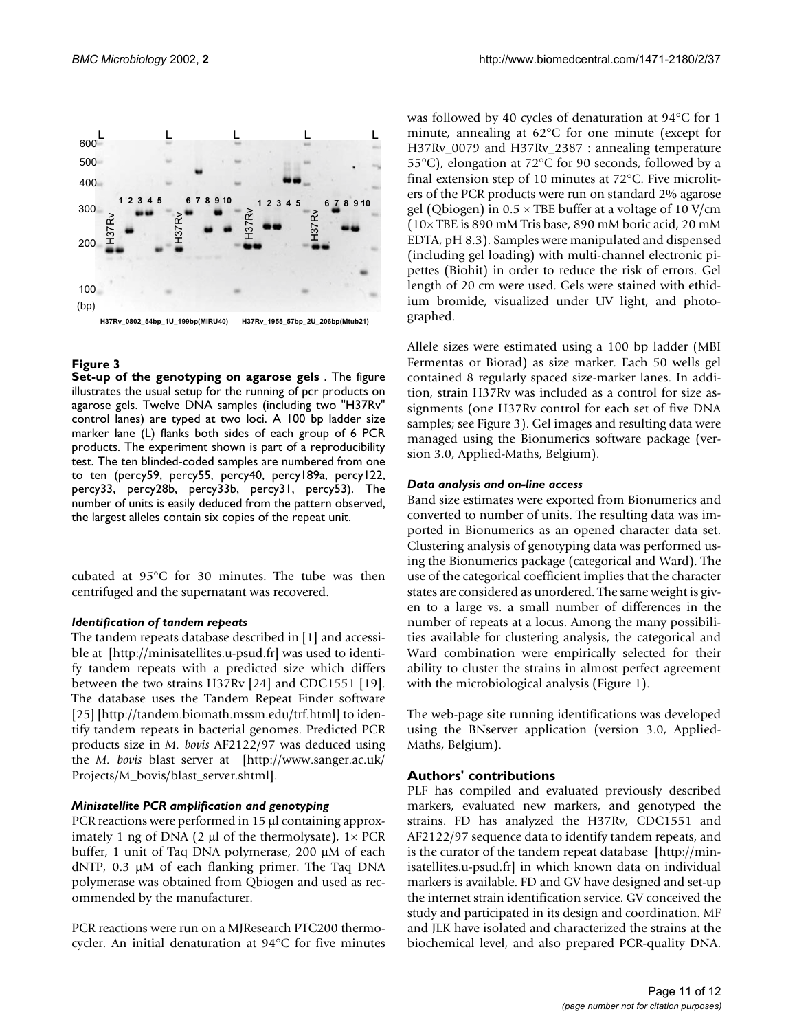

# <span id="page-10-0"></span>**Figure 3**

**Set-up of the genotyping on agarose gels** . The figure illustrates the usual setup for the running of pcr products on agarose gels. Twelve DNA samples (including two "H37Rv" control lanes) are typed at two loci. A 100 bp ladder size marker lane (L) flanks both sides of each group of 6 PCR products. The experiment shown is part of a reproducibility test. The ten blinded-coded samples are numbered from one to ten (percy59, percy55, percy40, percy189a, percy122, percy33, percy28b, percy33b, percy31, percy53). The number of units is easily deduced from the pattern observed, the largest alleles contain six copies of the repeat unit.

cubated at 95°C for 30 minutes. The tube was then centrifuged and the supernatant was recovered.

# *Identification of tandem repeats*

[The tandem repeats database described in \[1\] and accessi](http://minisatellites.u-psud.fr)ble at [http://minisatellites.u-psud.fr] was used to identify tandem repeats with a predicted size which differs between the two strains H37Rv [24] and CDC1551 [19]. The database uses the Tandem Repeat Finder software [\[25\] \[](http://minisatellites.u-psud.fr)[http://tandem.biomath.mssm.edu/trf.html\] to iden](http://tandem.biomath.mssm.edu/trf.html)[tify tandem repeats in bacterial genomes. Predicted PCR](http://tandem.biomath.mssm.edu/trf.html) [products size in](http://tandem.biomath.mssm.edu/trf.html) *M. bovis* AF2122/97 was deduced using the *M. bovis* [blast server at \[http://www.sanger.ac.uk/](http://www.sanger.ac.uk/Projects/M_bovis/blast_server.shtml) [Projects/M\\_bovis/blast\\_server.shtml\].](http://www.sanger.ac.uk/Projects/M_bovis/blast_server.shtml)

# *Minisatellite PCR amplification and genotyping*

PCR reactions were performed in 15 µl containing approximately 1 ng of DNA (2  $\mu$ l of the thermolysate),  $1 \times PCR$ buffer, 1 unit of Taq DNA polymerase, 200 µM of each dNTP, 0.3 µM of each flanking primer. The Taq DNA polymerase was obtained from Qbiogen and used as recommended by the manufacturer.

PCR reactions were run on a MJResearch PTC200 thermocycler. An initial denaturation at 94°C for five minutes was followed by 40 cycles of denaturation at 94°C for 1 minute, annealing at 62°C for one minute (except for H37Rv\_0079 and H37Rv\_2387 : annealing temperature 55°C), elongation at 72°C for 90 seconds, followed by a final extension step of 10 minutes at 72°C. Five microliters of the PCR products were run on standard 2% agarose gel (Qbiogen) in  $0.5 \times$  TBE buffer at a voltage of 10 V/cm (10× TBE is 890 mM Tris base, 890 mM boric acid, 20 mM EDTA, pH 8.3). Samples were manipulated and dispensed (including gel loading) with multi-channel electronic pipettes (Biohit) in order to reduce the risk of errors. Gel length of 20 cm were used. Gels were stained with ethidium bromide, visualized under UV light, and photographed.

Allele sizes were estimated using a 100 bp ladder (MBI Fermentas or Biorad) as size marker. Each 50 wells gel contained 8 regularly spaced size-marker lanes. In addition, strain H37Rv was included as a control for size assignments (one H37Rv control for each set of five DNA samples; see Figure [3](#page-10-0)). Gel images and resulting data were managed using the Bionumerics software package (version 3.0, Applied-Maths, Belgium).

# *Data analysis and on-line access*

Band size estimates were exported from Bionumerics and converted to number of units. The resulting data was imported in Bionumerics as an opened character data set. Clustering analysis of genotyping data was performed using the Bionumerics package (categorical and Ward). The use of the categorical coefficient implies that the character states are considered as unordered. The same weight is given to a large vs. a small number of differences in the number of repeats at a locus. Among the many possibilities available for clustering analysis, the categorical and Ward combination were empirically selected for their ability to cluster the strains in almost perfect agreement with the microbiological analysis (Figure 1).

The web-page site running identifications was developed using the BNserver application (version 3.0, Applied-Maths, Belgium).

# **Authors' contributions**

[PLF has compiled and evaluated previously described](http://minisatellites.u-psud.fr) markers, evaluated new markers, and genotyped the strains. FD has analyzed the H37Rv, CDC1551 and AF2122/97 sequence data to identify tandem repeats, and is the curator of the tandem repeat database [http://minisatellites.u-psud.fr] in which known data on individual markers is available. FD and GV have designed and set-up the internet strain identification service. GV conceived the study and participated in its design and coordination. MF and JLK have isolated and characterized the strains at the [biochemical level, and also prepared PCR-quality DNA.](http://minisatellites.u-psud.fr)